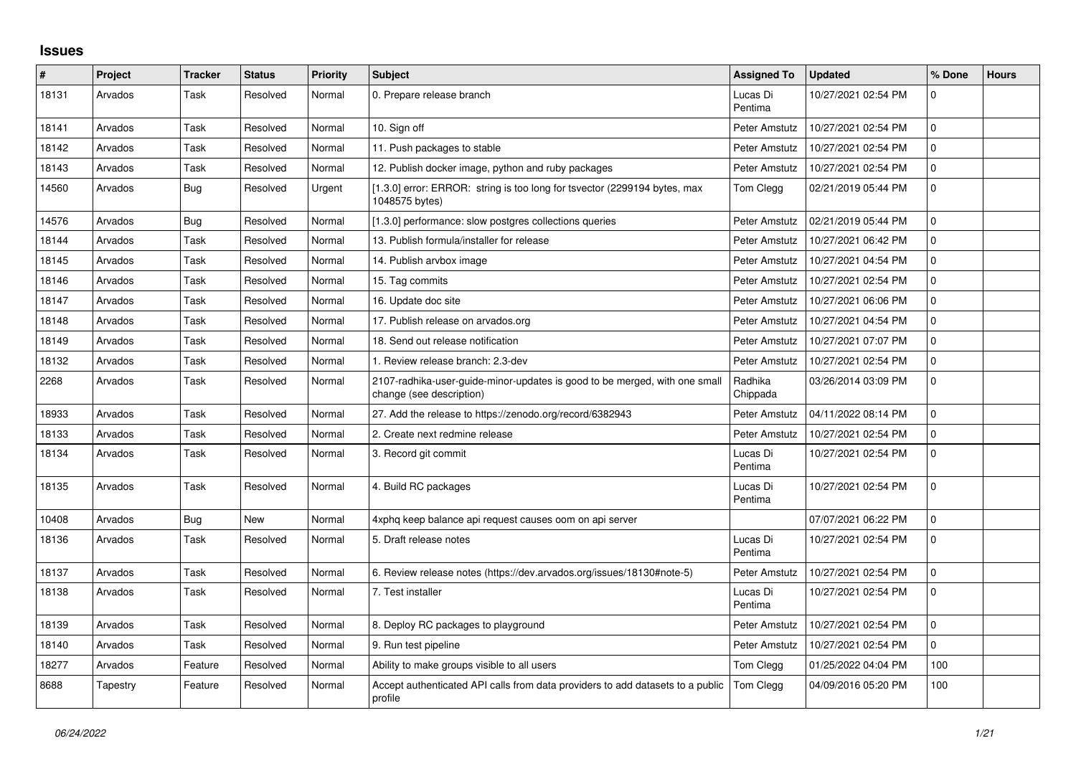## **Issues**

| #     | Project  | <b>Tracker</b> | <b>Status</b> | <b>Priority</b> | <b>Subject</b>                                                                                         | <b>Assigned To</b>  | <b>Updated</b>      | % Done   | <b>Hours</b> |
|-------|----------|----------------|---------------|-----------------|--------------------------------------------------------------------------------------------------------|---------------------|---------------------|----------|--------------|
| 18131 | Arvados  | Task           | Resolved      | Normal          | 0. Prepare release branch                                                                              | Lucas Di<br>Pentima | 10/27/2021 02:54 PM | $\Omega$ |              |
| 18141 | Arvados  | Task           | Resolved      | Normal          | 10. Sign off                                                                                           | Peter Amstutz       | 10/27/2021 02:54 PM | $\Omega$ |              |
| 18142 | Arvados  | Task           | Resolved      | Normal          | 11. Push packages to stable                                                                            | Peter Amstutz       | 10/27/2021 02:54 PM | $\Omega$ |              |
| 18143 | Arvados  | Task           | Resolved      | Normal          | 12. Publish docker image, python and ruby packages                                                     | Peter Amstutz       | 10/27/2021 02:54 PM | $\Omega$ |              |
| 14560 | Arvados  | Bug            | Resolved      | Urgent          | [1.3.0] error: ERROR: string is too long for tsyector (2299194 bytes, max<br>1048575 bytes)            | Tom Clegg           | 02/21/2019 05:44 PM | $\Omega$ |              |
| 14576 | Arvados  | <b>Bug</b>     | Resolved      | Normal          | [1.3.0] performance: slow postgres collections queries                                                 | Peter Amstutz       | 02/21/2019 05:44 PM | $\Omega$ |              |
| 18144 | Arvados  | Task           | Resolved      | Normal          | 13. Publish formula/installer for release                                                              | Peter Amstutz       | 10/27/2021 06:42 PM | $\Omega$ |              |
| 18145 | Arvados  | Task           | Resolved      | Normal          | 14. Publish arvbox image                                                                               | Peter Amstutz       | 10/27/2021 04:54 PM | $\Omega$ |              |
| 18146 | Arvados  | Task           | Resolved      | Normal          | 15. Tag commits                                                                                        | Peter Amstutz       | 10/27/2021 02:54 PM | $\Omega$ |              |
| 18147 | Arvados  | Task           | Resolved      | Normal          | 16. Update doc site                                                                                    | Peter Amstutz       | 10/27/2021 06:06 PM | $\Omega$ |              |
| 18148 | Arvados  | Task           | Resolved      | Normal          | 17. Publish release on arvados.org                                                                     | Peter Amstutz       | 10/27/2021 04:54 PM | $\Omega$ |              |
| 18149 | Arvados  | Task           | Resolved      | Normal          | 18. Send out release notification                                                                      | Peter Amstutz       | 10/27/2021 07:07 PM | $\Omega$ |              |
| 18132 | Arvados  | Task           | Resolved      | Normal          | 1. Review release branch: 2.3-dev                                                                      | Peter Amstutz       | 10/27/2021 02:54 PM | $\Omega$ |              |
| 2268  | Arvados  | Task           | Resolved      | Normal          | 2107-radhika-user-guide-minor-updates is good to be merged, with one small<br>change (see description) | Radhika<br>Chippada | 03/26/2014 03:09 PM | $\Omega$ |              |
| 18933 | Arvados  | Task           | Resolved      | Normal          | 27. Add the release to https://zenodo.org/record/6382943                                               | Peter Amstutz       | 04/11/2022 08:14 PM | $\Omega$ |              |
| 18133 | Arvados  | Task           | Resolved      | Normal          | 2. Create next redmine release                                                                         | Peter Amstutz       | 10/27/2021 02:54 PM | $\Omega$ |              |
| 18134 | Arvados  | Task           | Resolved      | Normal          | 3. Record git commit                                                                                   | Lucas Di<br>Pentima | 10/27/2021 02:54 PM | $\Omega$ |              |
| 18135 | Arvados  | Task           | Resolved      | Normal          | 4. Build RC packages                                                                                   | Lucas Di<br>Pentima | 10/27/2021 02:54 PM | $\Omega$ |              |
| 10408 | Arvados  | Bug            | New           | Normal          | 4xphq keep balance api request causes oom on api server                                                |                     | 07/07/2021 06:22 PM | $\Omega$ |              |
| 18136 | Arvados  | Task           | Resolved      | Normal          | 5. Draft release notes                                                                                 | Lucas Di<br>Pentima | 10/27/2021 02:54 PM | $\Omega$ |              |
| 18137 | Arvados  | Task           | Resolved      | Normal          | 6. Review release notes (https://dev.arvados.org/issues/18130#note-5)                                  | Peter Amstutz       | 10/27/2021 02:54 PM | $\Omega$ |              |
| 18138 | Arvados  | Task           | Resolved      | Normal          | 7. Test installer                                                                                      | Lucas Di<br>Pentima | 10/27/2021 02:54 PM | $\Omega$ |              |
| 18139 | Arvados  | Task           | Resolved      | Normal          | 8. Deploy RC packages to playground                                                                    | Peter Amstutz       | 10/27/2021 02:54 PM | $\Omega$ |              |
| 18140 | Arvados  | Task           | Resolved      | Normal          | 9. Run test pipeline                                                                                   | Peter Amstutz       | 10/27/2021 02:54 PM | $\Omega$ |              |
| 18277 | Arvados  | Feature        | Resolved      | Normal          | Ability to make groups visible to all users                                                            | Tom Clegg           | 01/25/2022 04:04 PM | 100      |              |
| 8688  | Tapestry | Feature        | Resolved      | Normal          | Accept authenticated API calls from data providers to add datasets to a public<br>profile              | Tom Clegg           | 04/09/2016 05:20 PM | 100      |              |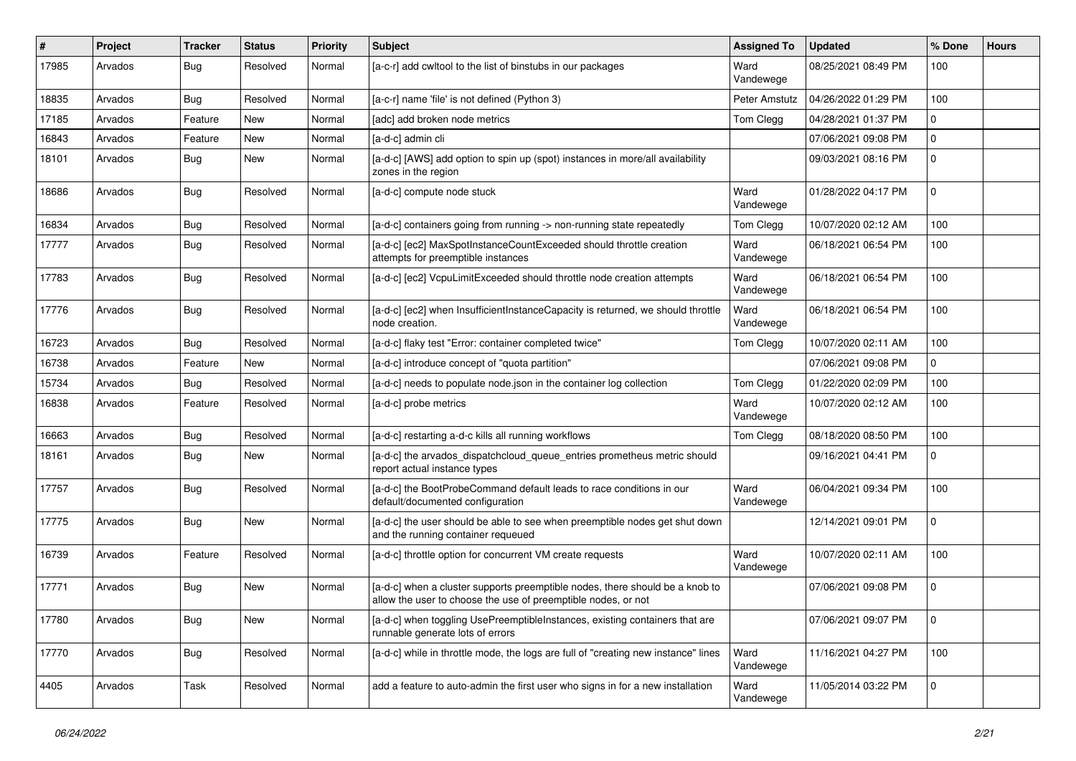| #     | Project | <b>Tracker</b> | <b>Status</b> | <b>Priority</b> | Subject                                                                                                                                       | <b>Assigned To</b> | <b>Updated</b>      | % Done       | <b>Hours</b> |
|-------|---------|----------------|---------------|-----------------|-----------------------------------------------------------------------------------------------------------------------------------------------|--------------------|---------------------|--------------|--------------|
| 17985 | Arvados | Bug            | Resolved      | Normal          | [a-c-r] add cwltool to the list of binstubs in our packages                                                                                   | Ward<br>Vandewege  | 08/25/2021 08:49 PM | 100          |              |
| 18835 | Arvados | Bug            | Resolved      | Normal          | [a-c-r] name 'file' is not defined (Python 3)                                                                                                 | Peter Amstutz      | 04/26/2022 01:29 PM | 100          |              |
| 17185 | Arvados | Feature        | New           | Normal          | [adc] add broken node metrics                                                                                                                 | Tom Clegg          | 04/28/2021 01:37 PM | $\Omega$     |              |
| 16843 | Arvados | Feature        | New           | Normal          | [a-d-c] admin cli                                                                                                                             |                    | 07/06/2021 09:08 PM | $\Omega$     |              |
| 18101 | Arvados | Bug            | New           | Normal          | [a-d-c] [AWS] add option to spin up (spot) instances in more/all availability<br>zones in the region                                          |                    | 09/03/2021 08:16 PM | <sup>0</sup> |              |
| 18686 | Arvados | <b>Bug</b>     | Resolved      | Normal          | [a-d-c] compute node stuck                                                                                                                    | Ward<br>Vandewege  | 01/28/2022 04:17 PM | $\Omega$     |              |
| 16834 | Arvados | <b>Bug</b>     | Resolved      | Normal          | [a-d-c] containers going from running -> non-running state repeatedly                                                                         | Tom Clegg          | 10/07/2020 02:12 AM | 100          |              |
| 17777 | Arvados | Bug            | Resolved      | Normal          | [a-d-c] [ec2] MaxSpotInstanceCountExceeded should throttle creation<br>attempts for preemptible instances                                     | Ward<br>Vandewege  | 06/18/2021 06:54 PM | 100          |              |
| 17783 | Arvados | <b>Bug</b>     | Resolved      | Normal          | [a-d-c] [ec2] VcpuLimitExceeded should throttle node creation attempts                                                                        | Ward<br>Vandewege  | 06/18/2021 06:54 PM | 100          |              |
| 17776 | Arvados | Bug            | Resolved      | Normal          | [a-d-c] [ec2] when InsufficientInstanceCapacity is returned, we should throttle<br>node creation.                                             | Ward<br>Vandewege  | 06/18/2021 06:54 PM | 100          |              |
| 16723 | Arvados | <b>Bug</b>     | Resolved      | Normal          | [a-d-c] flaky test "Error: container completed twice"                                                                                         | Tom Clegg          | 10/07/2020 02:11 AM | 100          |              |
| 16738 | Arvados | Feature        | <b>New</b>    | Normal          | [a-d-c] introduce concept of "quota partition"                                                                                                |                    | 07/06/2021 09:08 PM | 0            |              |
| 15734 | Arvados | Bug            | Resolved      | Normal          | [a-d-c] needs to populate node json in the container log collection                                                                           | Tom Clegg          | 01/22/2020 02:09 PM | 100          |              |
| 16838 | Arvados | Feature        | Resolved      | Normal          | [a-d-c] probe metrics                                                                                                                         | Ward<br>Vandewege  | 10/07/2020 02:12 AM | 100          |              |
| 16663 | Arvados | <b>Bug</b>     | Resolved      | Normal          | [a-d-c] restarting a-d-c kills all running workflows                                                                                          | Tom Clegg          | 08/18/2020 08:50 PM | 100          |              |
| 18161 | Arvados | Bug            | New           | Normal          | [a-d-c] the arvados_dispatchcloud_queue_entries prometheus metric should<br>report actual instance types                                      |                    | 09/16/2021 04:41 PM | $\Omega$     |              |
| 17757 | Arvados | Bug            | Resolved      | Normal          | [a-d-c] the BootProbeCommand default leads to race conditions in our<br>default/documented configuration                                      | Ward<br>Vandewege  | 06/04/2021 09:34 PM | 100          |              |
| 17775 | Arvados | <b>Bug</b>     | New           | Normal          | [a-d-c] the user should be able to see when preemptible nodes get shut down<br>and the running container requeued                             |                    | 12/14/2021 09:01 PM | $\Omega$     |              |
| 16739 | Arvados | Feature        | Resolved      | Normal          | [a-d-c] throttle option for concurrent VM create requests                                                                                     | Ward<br>Vandewege  | 10/07/2020 02:11 AM | 100          |              |
| 17771 | Arvados | <b>Bug</b>     | New           | Normal          | [a-d-c] when a cluster supports preemptible nodes, there should be a knob to<br>allow the user to choose the use of preemptible nodes, or not |                    | 07/06/2021 09:08 PM | $\Omega$     |              |
| 17780 | Arvados | Bug            | New           | Normal          | [a-d-c] when toggling UsePreemptibleInstances, existing containers that are<br>runnable generate lots of errors                               |                    | 07/06/2021 09:07 PM | $\mathbf 0$  |              |
| 17770 | Arvados | Bug            | Resolved      | Normal          | [a-d-c] while in throttle mode, the logs are full of "creating new instance" lines                                                            | Ward<br>Vandewege  | 11/16/2021 04:27 PM | 100          |              |
| 4405  | Arvados | Task           | Resolved      | Normal          | add a feature to auto-admin the first user who signs in for a new installation                                                                | Ward<br>Vandewege  | 11/05/2014 03:22 PM | $\mathbf 0$  |              |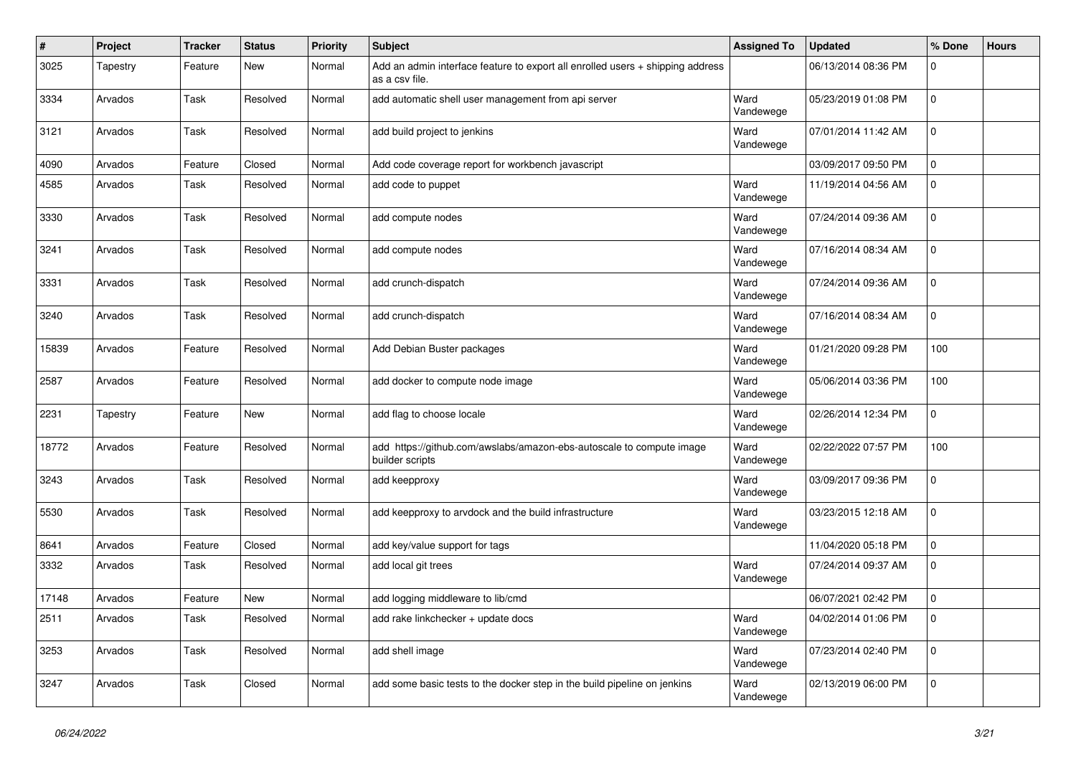| $\pmb{\#}$ | Project  | <b>Tracker</b> | <b>Status</b> | <b>Priority</b> | Subject                                                                                          | <b>Assigned To</b> | <b>Updated</b>      | % Done         | <b>Hours</b> |
|------------|----------|----------------|---------------|-----------------|--------------------------------------------------------------------------------------------------|--------------------|---------------------|----------------|--------------|
| 3025       | Tapestry | Feature        | New           | Normal          | Add an admin interface feature to export all enrolled users + shipping address<br>as a csv file. |                    | 06/13/2014 08:36 PM | $\Omega$       |              |
| 3334       | Arvados  | Task           | Resolved      | Normal          | add automatic shell user management from api server                                              | Ward<br>Vandewege  | 05/23/2019 01:08 PM | $\mathbf 0$    |              |
| 3121       | Arvados  | Task           | Resolved      | Normal          | add build project to jenkins                                                                     | Ward<br>Vandewege  | 07/01/2014 11:42 AM | $\Omega$       |              |
| 4090       | Arvados  | Feature        | Closed        | Normal          | Add code coverage report for workbench javascript                                                |                    | 03/09/2017 09:50 PM | $\Omega$       |              |
| 4585       | Arvados  | Task           | Resolved      | Normal          | add code to puppet                                                                               | Ward<br>Vandewege  | 11/19/2014 04:56 AM | $\mathbf 0$    |              |
| 3330       | Arvados  | Task           | Resolved      | Normal          | add compute nodes                                                                                | Ward<br>Vandewege  | 07/24/2014 09:36 AM | $\mathbf 0$    |              |
| 3241       | Arvados  | Task           | Resolved      | Normal          | add compute nodes                                                                                | Ward<br>Vandewege  | 07/16/2014 08:34 AM | $\Omega$       |              |
| 3331       | Arvados  | Task           | Resolved      | Normal          | add crunch-dispatch                                                                              | Ward<br>Vandewege  | 07/24/2014 09:36 AM | $\mathbf 0$    |              |
| 3240       | Arvados  | Task           | Resolved      | Normal          | add crunch-dispatch                                                                              | Ward<br>Vandewege  | 07/16/2014 08:34 AM | $\mathbf 0$    |              |
| 15839      | Arvados  | Feature        | Resolved      | Normal          | Add Debian Buster packages                                                                       | Ward<br>Vandewege  | 01/21/2020 09:28 PM | 100            |              |
| 2587       | Arvados  | Feature        | Resolved      | Normal          | add docker to compute node image                                                                 | Ward<br>Vandewege  | 05/06/2014 03:36 PM | 100            |              |
| 2231       | Tapestry | Feature        | <b>New</b>    | Normal          | add flag to choose locale                                                                        | Ward<br>Vandewege  | 02/26/2014 12:34 PM | $\mathbf 0$    |              |
| 18772      | Arvados  | Feature        | Resolved      | Normal          | add https://github.com/awslabs/amazon-ebs-autoscale to compute image<br>builder scripts          | Ward<br>Vandewege  | 02/22/2022 07:57 PM | 100            |              |
| 3243       | Arvados  | Task           | Resolved      | Normal          | add keepproxy                                                                                    | Ward<br>Vandewege  | 03/09/2017 09:36 PM | $\mathbf 0$    |              |
| 5530       | Arvados  | Task           | Resolved      | Normal          | add keepproxy to arvdock and the build infrastructure                                            | Ward<br>Vandewege  | 03/23/2015 12:18 AM | $\mathbf 0$    |              |
| 8641       | Arvados  | Feature        | Closed        | Normal          | add key/value support for tags                                                                   |                    | 11/04/2020 05:18 PM | $\mathbf 0$    |              |
| 3332       | Arvados  | Task           | Resolved      | Normal          | add local git trees                                                                              | Ward<br>Vandewege  | 07/24/2014 09:37 AM | $\Omega$       |              |
| 17148      | Arvados  | Feature        | New           | Normal          | add logging middleware to lib/cmd                                                                |                    | 06/07/2021 02:42 PM | $\mathbf 0$    |              |
| 2511       | Arvados  | Task           | Resolved      | Normal          | add rake linkchecker + update docs                                                               | Ward<br>Vandewege  | 04/02/2014 01:06 PM | l 0            |              |
| 3253       | Arvados  | Task           | Resolved      | Normal          | add shell image                                                                                  | Ward<br>Vandewege  | 07/23/2014 02:40 PM | $\mathbf 0$    |              |
| 3247       | Arvados  | Task           | Closed        | Normal          | add some basic tests to the docker step in the build pipeline on jenkins                         | Ward<br>Vandewege  | 02/13/2019 06:00 PM | $\overline{0}$ |              |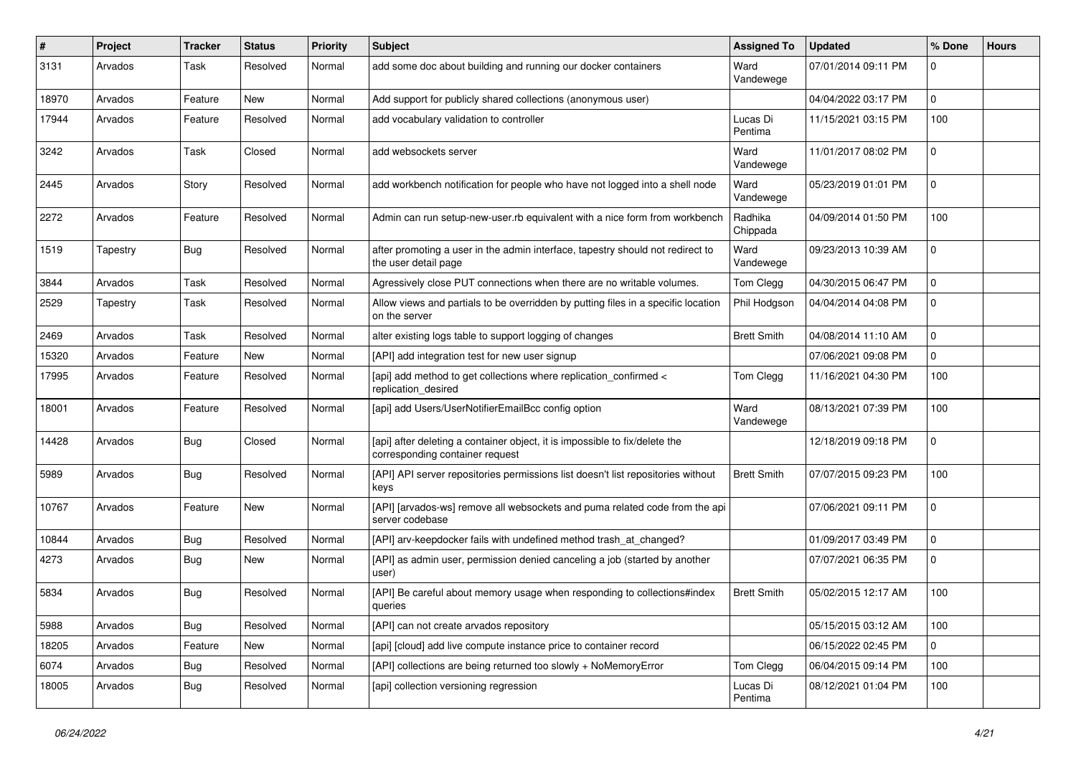| $\pmb{\#}$ | Project  | <b>Tracker</b> | <b>Status</b> | <b>Priority</b> | Subject                                                                                                        | <b>Assigned To</b>  | <b>Updated</b>      | % Done      | <b>Hours</b> |
|------------|----------|----------------|---------------|-----------------|----------------------------------------------------------------------------------------------------------------|---------------------|---------------------|-------------|--------------|
| 3131       | Arvados  | Task           | Resolved      | Normal          | add some doc about building and running our docker containers                                                  | Ward<br>Vandewege   | 07/01/2014 09:11 PM | $\Omega$    |              |
| 18970      | Arvados  | Feature        | New           | Normal          | Add support for publicly shared collections (anonymous user)                                                   |                     | 04/04/2022 03:17 PM | $\mathbf 0$ |              |
| 17944      | Arvados  | Feature        | Resolved      | Normal          | add vocabulary validation to controller                                                                        | Lucas Di<br>Pentima | 11/15/2021 03:15 PM | 100         |              |
| 3242       | Arvados  | Task           | Closed        | Normal          | add websockets server                                                                                          | Ward<br>Vandewege   | 11/01/2017 08:02 PM | $\Omega$    |              |
| 2445       | Arvados  | Story          | Resolved      | Normal          | add workbench notification for people who have not logged into a shell node                                    | Ward<br>Vandewege   | 05/23/2019 01:01 PM | $\mathbf 0$ |              |
| 2272       | Arvados  | Feature        | Resolved      | Normal          | Admin can run setup-new-user.rb equivalent with a nice form from workbench                                     | Radhika<br>Chippada | 04/09/2014 01:50 PM | 100         |              |
| 1519       | Tapestry | Bug            | Resolved      | Normal          | after promoting a user in the admin interface, tapestry should not redirect to<br>the user detail page         | Ward<br>Vandewege   | 09/23/2013 10:39 AM | $\Omega$    |              |
| 3844       | Arvados  | Task           | Resolved      | Normal          | Agressively close PUT connections when there are no writable volumes.                                          | Tom Clegg           | 04/30/2015 06:47 PM | $\Omega$    |              |
| 2529       | Tapestry | Task           | Resolved      | Normal          | Allow views and partials to be overridden by putting files in a specific location<br>on the server             | Phil Hodgson        | 04/04/2014 04:08 PM | $\Omega$    |              |
| 2469       | Arvados  | Task           | Resolved      | Normal          | alter existing logs table to support logging of changes                                                        | <b>Brett Smith</b>  | 04/08/2014 11:10 AM | $\Omega$    |              |
| 15320      | Arvados  | Feature        | New           | Normal          | [API] add integration test for new user signup                                                                 |                     | 07/06/2021 09:08 PM | $\Omega$    |              |
| 17995      | Arvados  | Feature        | Resolved      | Normal          | [api] add method to get collections where replication_confirmed <<br>replication_desired                       | Tom Clegg           | 11/16/2021 04:30 PM | 100         |              |
| 18001      | Arvados  | Feature        | Resolved      | Normal          | [api] add Users/UserNotifierEmailBcc config option                                                             | Ward<br>Vandewege   | 08/13/2021 07:39 PM | 100         |              |
| 14428      | Arvados  | Bug            | Closed        | Normal          | [api] after deleting a container object, it is impossible to fix/delete the<br>corresponding container request |                     | 12/18/2019 09:18 PM | $\Omega$    |              |
| 5989       | Arvados  | Bug            | Resolved      | Normal          | [API] API server repositories permissions list doesn't list repositories without<br>keys                       | <b>Brett Smith</b>  | 07/07/2015 09:23 PM | 100         |              |
| 10767      | Arvados  | Feature        | <b>New</b>    | Normal          | [API] [arvados-ws] remove all websockets and puma related code from the api<br>server codebase                 |                     | 07/06/2021 09:11 PM | $\mathbf 0$ |              |
| 10844      | Arvados  | Bug            | Resolved      | Normal          | [API] arv-keepdocker fails with undefined method trash_at_changed?                                             |                     | 01/09/2017 03:49 PM | $\mathbf 0$ |              |
| 4273       | Arvados  | Bug            | New           | Normal          | [API] as admin user, permission denied canceling a job (started by another<br>user)                            |                     | 07/07/2021 06:35 PM | $\Omega$    |              |
| 5834       | Arvados  | <b>Bug</b>     | Resolved      | Normal          | [API] Be careful about memory usage when responding to collections#index<br>queries                            | <b>Brett Smith</b>  | 05/02/2015 12:17 AM | 100         |              |
| 5988       | Arvados  | Bug            | Resolved      | Normal          | [API] can not create arvados repository                                                                        |                     | 05/15/2015 03:12 AM | 100         |              |
| 18205      | Arvados  | Feature        | New           | Normal          | [api] [cloud] add live compute instance price to container record                                              |                     | 06/15/2022 02:45 PM | $\mathbf 0$ |              |
| 6074       | Arvados  | Bug            | Resolved      | Normal          | [API] collections are being returned too slowly + NoMemoryError                                                | Tom Clegg           | 06/04/2015 09:14 PM | 100         |              |
| 18005      | Arvados  | <b>Bug</b>     | Resolved      | Normal          | [api] collection versioning regression                                                                         | Lucas Di<br>Pentima | 08/12/2021 01:04 PM | 100         |              |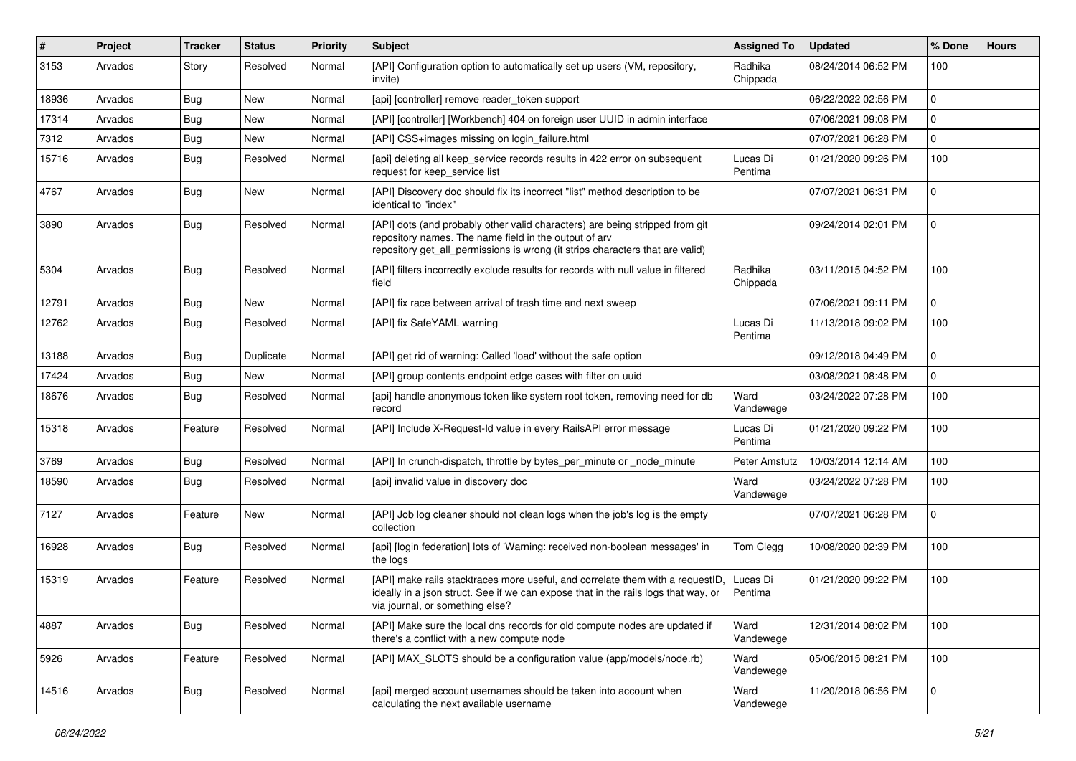| $\#$  | Project | <b>Tracker</b> | <b>Status</b> | <b>Priority</b> | <b>Subject</b>                                                                                                                                                                                                         | <b>Assigned To</b>  | <b>Updated</b>      | % Done      | <b>Hours</b> |
|-------|---------|----------------|---------------|-----------------|------------------------------------------------------------------------------------------------------------------------------------------------------------------------------------------------------------------------|---------------------|---------------------|-------------|--------------|
| 3153  | Arvados | Story          | Resolved      | Normal          | [API] Configuration option to automatically set up users (VM, repository,<br>invite)                                                                                                                                   | Radhika<br>Chippada | 08/24/2014 06:52 PM | 100         |              |
| 18936 | Arvados | Bug            | New           | Normal          | [api] [controller] remove reader token support                                                                                                                                                                         |                     | 06/22/2022 02:56 PM | $\Omega$    |              |
| 17314 | Arvados | Bug            | New           | Normal          | [API] [controller] [Workbench] 404 on foreign user UUID in admin interface                                                                                                                                             |                     | 07/06/2021 09:08 PM | $\Omega$    |              |
| 7312  | Arvados | Bug            | <b>New</b>    | Normal          | [API] CSS+images missing on login_failure.html                                                                                                                                                                         |                     | 07/07/2021 06:28 PM | 0           |              |
| 15716 | Arvados | Bug            | Resolved      | Normal          | [api] deleting all keep_service records results in 422 error on subsequent<br>request for keep_service list                                                                                                            | Lucas Di<br>Pentima | 01/21/2020 09:26 PM | 100         |              |
| 4767  | Arvados | Bug            | New           | Normal          | [API] Discovery doc should fix its incorrect "list" method description to be<br>identical to "index"                                                                                                                   |                     | 07/07/2021 06:31 PM | $\Omega$    |              |
| 3890  | Arvados | Bug            | Resolved      | Normal          | [API] dots (and probably other valid characters) are being stripped from git<br>repository names. The name field in the output of arv<br>repository get_all_permissions is wrong (it strips characters that are valid) |                     | 09/24/2014 02:01 PM | $\Omega$    |              |
| 5304  | Arvados | Bug            | Resolved      | Normal          | [API] filters incorrectly exclude results for records with null value in filtered<br>field                                                                                                                             | Radhika<br>Chippada | 03/11/2015 04:52 PM | 100         |              |
| 12791 | Arvados | Bug            | <b>New</b>    | Normal          | [API] fix race between arrival of trash time and next sweep                                                                                                                                                            |                     | 07/06/2021 09:11 PM | $\Omega$    |              |
| 12762 | Arvados | <b>Bug</b>     | Resolved      | Normal          | [API] fix SafeYAML warning                                                                                                                                                                                             | Lucas Di<br>Pentima | 11/13/2018 09:02 PM | 100         |              |
| 13188 | Arvados | <b>Bug</b>     | Duplicate     | Normal          | [API] get rid of warning: Called 'load' without the safe option                                                                                                                                                        |                     | 09/12/2018 04:49 PM | $\mathbf 0$ |              |
| 17424 | Arvados | Bug            | <b>New</b>    | Normal          | [API] group contents endpoint edge cases with filter on uuid                                                                                                                                                           |                     | 03/08/2021 08:48 PM | 0           |              |
| 18676 | Arvados | Bug            | Resolved      | Normal          | [api] handle anonymous token like system root token, removing need for db<br>record                                                                                                                                    | Ward<br>Vandewege   | 03/24/2022 07:28 PM | 100         |              |
| 15318 | Arvados | Feature        | Resolved      | Normal          | [API] Include X-Request-Id value in every RailsAPI error message                                                                                                                                                       | Lucas Di<br>Pentima | 01/21/2020 09:22 PM | 100         |              |
| 3769  | Arvados | <b>Bug</b>     | Resolved      | Normal          | [API] In crunch-dispatch, throttle by bytes_per_minute or _node_minute                                                                                                                                                 | Peter Amstutz       | 10/03/2014 12:14 AM | 100         |              |
| 18590 | Arvados | Bug            | Resolved      | Normal          | [api] invalid value in discovery doc                                                                                                                                                                                   | Ward<br>Vandewege   | 03/24/2022 07:28 PM | 100         |              |
| 7127  | Arvados | Feature        | <b>New</b>    | Normal          | [API] Job log cleaner should not clean logs when the job's log is the empty<br>collection                                                                                                                              |                     | 07/07/2021 06:28 PM | $\Omega$    |              |
| 16928 | Arvados | Bug            | Resolved      | Normal          | [api] [login federation] lots of 'Warning: received non-boolean messages' in<br>the logs                                                                                                                               | Tom Clegg           | 10/08/2020 02:39 PM | 100         |              |
| 15319 | Arvados | Feature        | Resolved      | Normal          | [API] make rails stacktraces more useful, and correlate them with a requestID<br>ideally in a json struct. See if we can expose that in the rails logs that way, or<br>via journal, or something else?                 | Lucas Di<br>Pentima | 01/21/2020 09:22 PM | 100         |              |
| 4887  | Arvados | Bug            | Resolved      | Normal          | [API] Make sure the local dns records for old compute nodes are updated if<br>there's a conflict with a new compute node                                                                                               | Ward<br>Vandewege   | 12/31/2014 08:02 PM | 100         |              |
| 5926  | Arvados | Feature        | Resolved      | Normal          | [API] MAX SLOTS should be a configuration value (app/models/node.rb)                                                                                                                                                   | Ward<br>Vandewege   | 05/06/2015 08:21 PM | 100         |              |
| 14516 | Arvados | <b>Bug</b>     | Resolved      | Normal          | [api] merged account usernames should be taken into account when<br>calculating the next available username                                                                                                            | Ward<br>Vandewege   | 11/20/2018 06:56 PM | $\mathbf 0$ |              |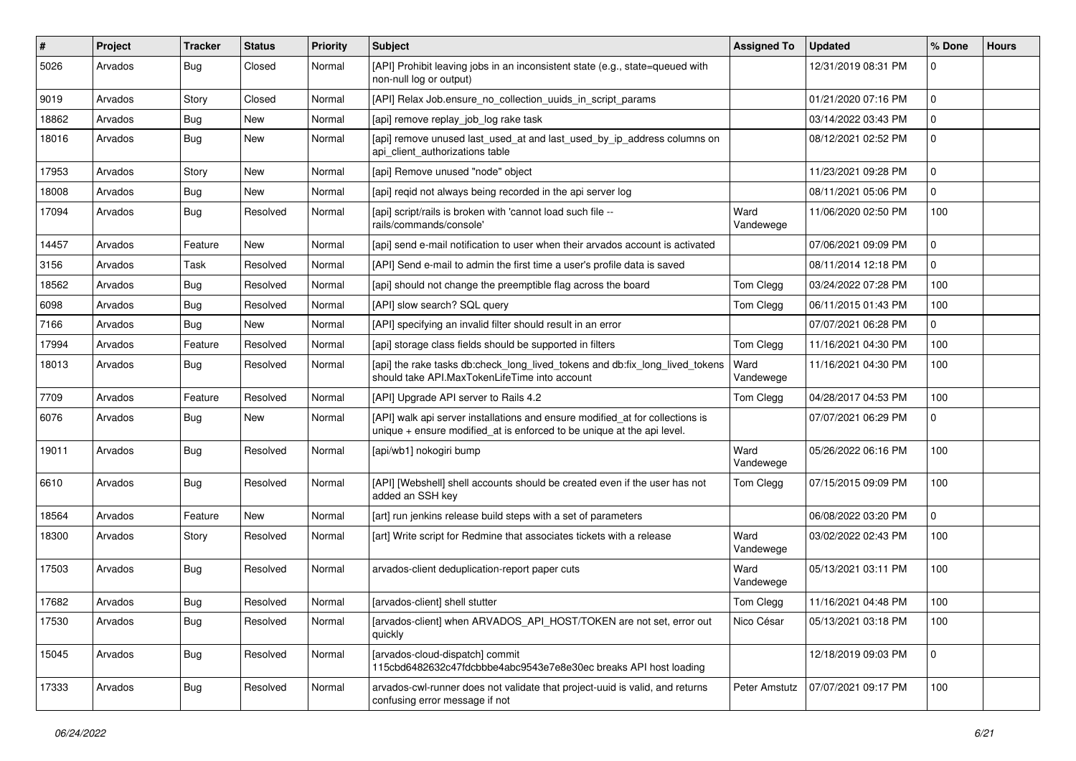| #     | Project | Tracker    | <b>Status</b> | <b>Priority</b> | Subject                                                                                                                                                 | <b>Assigned To</b> | <b>Updated</b>      | % Done         | <b>Hours</b> |
|-------|---------|------------|---------------|-----------------|---------------------------------------------------------------------------------------------------------------------------------------------------------|--------------------|---------------------|----------------|--------------|
| 5026  | Arvados | Bug        | Closed        | Normal          | [API] Prohibit leaving jobs in an inconsistent state (e.g., state=queued with<br>non-null log or output)                                                |                    | 12/31/2019 08:31 PM | $\Omega$       |              |
| 9019  | Arvados | Story      | Closed        | Normal          | [API] Relax Job.ensure no collection uuids in script params                                                                                             |                    | 01/21/2020 07:16 PM | $\Omega$       |              |
| 18862 | Arvados | Bug        | New           | Normal          | [api] remove replay_job_log rake task                                                                                                                   |                    | 03/14/2022 03:43 PM | $\Omega$       |              |
| 18016 | Arvados | Bug        | New           | Normal          | [api] remove unused last_used_at and last_used_by_ip_address columns on<br>api_client_authorizations table                                              |                    | 08/12/2021 02:52 PM | $\mathbf 0$    |              |
| 17953 | Arvados | Story      | New           | Normal          | [api] Remove unused "node" object                                                                                                                       |                    | 11/23/2021 09:28 PM | $\Omega$       |              |
| 18008 | Arvados | Bug        | New           | Normal          | [api] regid not always being recorded in the api server log                                                                                             |                    | 08/11/2021 05:06 PM | $\Omega$       |              |
| 17094 | Arvados | Bug        | Resolved      | Normal          | [api] script/rails is broken with 'cannot load such file --<br>rails/commands/console'                                                                  | Ward<br>Vandewege  | 11/06/2020 02:50 PM | 100            |              |
| 14457 | Arvados | Feature    | New           | Normal          | [api] send e-mail notification to user when their arvados account is activated                                                                          |                    | 07/06/2021 09:09 PM | $\Omega$       |              |
| 3156  | Arvados | Task       | Resolved      | Normal          | [API] Send e-mail to admin the first time a user's profile data is saved                                                                                |                    | 08/11/2014 12:18 PM | $\Omega$       |              |
| 18562 | Arvados | Bug        | Resolved      | Normal          | [api] should not change the preemptible flag across the board                                                                                           | Tom Clegg          | 03/24/2022 07:28 PM | 100            |              |
| 6098  | Arvados | Bug        | Resolved      | Normal          | [API] slow search? SQL query                                                                                                                            | Tom Clegg          | 06/11/2015 01:43 PM | 100            |              |
| 7166  | Arvados | <b>Bug</b> | New           | Normal          | [API] specifying an invalid filter should result in an error                                                                                            |                    | 07/07/2021 06:28 PM | $\Omega$       |              |
| 17994 | Arvados | Feature    | Resolved      | Normal          | [api] storage class fields should be supported in filters                                                                                               | Tom Clegg          | 11/16/2021 04:30 PM | 100            |              |
| 18013 | Arvados | Bug        | Resolved      | Normal          | [api] the rake tasks db:check_long_lived_tokens and db:fix_long_lived_tokens<br>should take API.MaxTokenLifeTime into account                           | Ward<br>Vandewege  | 11/16/2021 04:30 PM | 100            |              |
| 7709  | Arvados | Feature    | Resolved      | Normal          | [API] Upgrade API server to Rails 4.2                                                                                                                   | Tom Clegg          | 04/28/2017 04:53 PM | 100            |              |
| 6076  | Arvados | Bug        | New           | Normal          | [API] walk api server installations and ensure modified_at for collections is<br>unique + ensure modified_at is enforced to be unique at the api level. |                    | 07/07/2021 06:29 PM | $\Omega$       |              |
| 19011 | Arvados | Bug        | Resolved      | Normal          | [api/wb1] nokogiri bump                                                                                                                                 | Ward<br>Vandewege  | 05/26/2022 06:16 PM | 100            |              |
| 6610  | Arvados | Bug        | Resolved      | Normal          | [API] [Webshell] shell accounts should be created even if the user has not<br>added an SSH key                                                          | Tom Clegg          | 07/15/2015 09:09 PM | 100            |              |
| 18564 | Arvados | Feature    | New           | Normal          | [art] run jenkins release build steps with a set of parameters                                                                                          |                    | 06/08/2022 03:20 PM | $\Omega$       |              |
| 18300 | Arvados | Story      | Resolved      | Normal          | [art] Write script for Redmine that associates tickets with a release                                                                                   | Ward<br>Vandewege  | 03/02/2022 02:43 PM | 100            |              |
| 17503 | Arvados | Bug        | Resolved      | Normal          | arvados-client deduplication-report paper cuts                                                                                                          | Ward<br>Vandewege  | 05/13/2021 03:11 PM | 100            |              |
| 17682 | Arvados | Bug        | Resolved      | Normal          | [arvados-client] shell stutter                                                                                                                          | Tom Clegg          | 11/16/2021 04:48 PM | 100            |              |
| 17530 | Arvados | <b>Bug</b> | Resolved      | Normal          | [arvados-client] when ARVADOS_API_HOST/TOKEN are not set, error out<br>quickly                                                                          | Nico César         | 05/13/2021 03:18 PM | 100            |              |
| 15045 | Arvados | <b>Bug</b> | Resolved      | Normal          | [arvados-cloud-dispatch] commit<br>115cbd6482632c47fdcbbbe4abc9543e7e8e30ec breaks API host loading                                                     |                    | 12/18/2019 09:03 PM | $\overline{0}$ |              |
| 17333 | Arvados | Bug        | Resolved      | Normal          | arvados-cwl-runner does not validate that project-uuid is valid, and returns<br>confusing error message if not                                          | Peter Amstutz      | 07/07/2021 09:17 PM | 100            |              |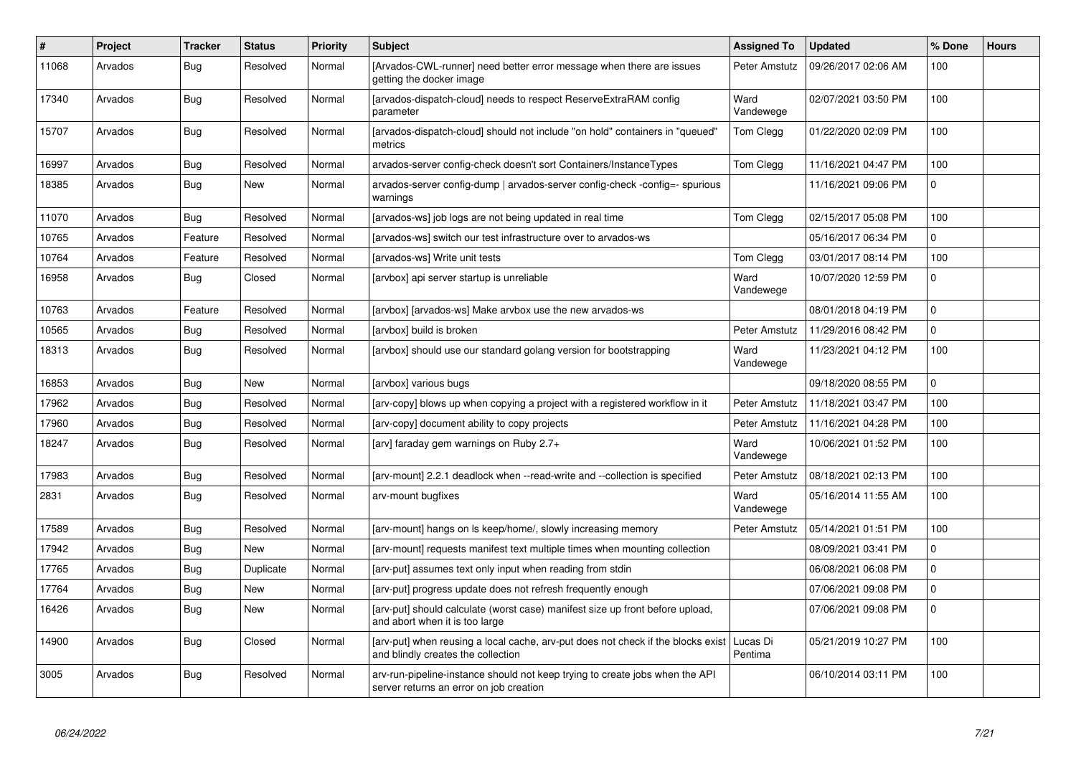| $\vert$ # | Project | Tracker    | <b>Status</b> | <b>Priority</b> | <b>Subject</b>                                                                                                          | <b>Assigned To</b>  | <b>Updated</b>      | % Done      | <b>Hours</b> |
|-----------|---------|------------|---------------|-----------------|-------------------------------------------------------------------------------------------------------------------------|---------------------|---------------------|-------------|--------------|
| 11068     | Arvados | Bug        | Resolved      | Normal          | [Arvados-CWL-runner] need better error message when there are issues<br>getting the docker image                        | Peter Amstutz       | 09/26/2017 02:06 AM | 100         |              |
| 17340     | Arvados | <b>Bug</b> | Resolved      | Normal          | [arvados-dispatch-cloud] needs to respect ReserveExtraRAM config<br>parameter                                           | Ward<br>Vandewege   | 02/07/2021 03:50 PM | 100         |              |
| 15707     | Arvados | <b>Bug</b> | Resolved      | Normal          | [arvados-dispatch-cloud] should not include "on hold" containers in "queued"<br>metrics                                 | Tom Clegg           | 01/22/2020 02:09 PM | 100         |              |
| 16997     | Arvados | <b>Bug</b> | Resolved      | Normal          | arvados-server config-check doesn't sort Containers/InstanceTypes                                                       | Tom Clegg           | 11/16/2021 04:47 PM | 100         |              |
| 18385     | Arvados | <b>Bug</b> | New           | Normal          | arvados-server config-dump   arvados-server config-check -config=- spurious<br>warnings                                 |                     | 11/16/2021 09:06 PM | $\Omega$    |              |
| 11070     | Arvados | <b>Bug</b> | Resolved      | Normal          | [arvados-ws] job logs are not being updated in real time                                                                | Tom Clegg           | 02/15/2017 05:08 PM | 100         |              |
| 10765     | Arvados | Feature    | Resolved      | Normal          | [arvados-ws] switch our test infrastructure over to arvados-ws                                                          |                     | 05/16/2017 06:34 PM | $\mathbf 0$ |              |
| 10764     | Arvados | Feature    | Resolved      | Normal          | [arvados-ws] Write unit tests                                                                                           | Tom Clegg           | 03/01/2017 08:14 PM | 100         |              |
| 16958     | Arvados | Bug        | Closed        | Normal          | [arvbox] api server startup is unreliable                                                                               | Ward<br>Vandewege   | 10/07/2020 12:59 PM | $\Omega$    |              |
| 10763     | Arvados | Feature    | Resolved      | Normal          | [arvbox] [arvados-ws] Make arvbox use the new arvados-ws                                                                |                     | 08/01/2018 04:19 PM | $\Omega$    |              |
| 10565     | Arvados | <b>Bug</b> | Resolved      | Normal          | [arvbox] build is broken                                                                                                | Peter Amstutz       | 11/29/2016 08:42 PM | $\mathbf 0$ |              |
| 18313     | Arvados | <b>Bug</b> | Resolved      | Normal          | [arvbox] should use our standard golang version for bootstrapping                                                       | Ward<br>Vandewege   | 11/23/2021 04:12 PM | 100         |              |
| 16853     | Arvados | <b>Bug</b> | New           | Normal          | [arvbox] various bugs                                                                                                   |                     | 09/18/2020 08:55 PM | $\Omega$    |              |
| 17962     | Arvados | Bug        | Resolved      | Normal          | [arv-copy] blows up when copying a project with a registered workflow in it                                             | Peter Amstutz       | 11/18/2021 03:47 PM | 100         |              |
| 17960     | Arvados | <b>Bug</b> | Resolved      | Normal          | [arv-copy] document ability to copy projects                                                                            | Peter Amstutz       | 11/16/2021 04:28 PM | 100         |              |
| 18247     | Arvados | Bug        | Resolved      | Normal          | [arv] faraday gem warnings on Ruby 2.7+                                                                                 | Ward<br>Vandewege   | 10/06/2021 01:52 PM | 100         |              |
| 17983     | Arvados | <b>Bug</b> | Resolved      | Normal          | [arv-mount] 2.2.1 deadlock when --read-write and --collection is specified                                              | Peter Amstutz       | 08/18/2021 02:13 PM | 100         |              |
| 2831      | Arvados | <b>Bug</b> | Resolved      | Normal          | arv-mount bugfixes                                                                                                      | Ward<br>Vandewege   | 05/16/2014 11:55 AM | 100         |              |
| 17589     | Arvados | Bug        | Resolved      | Normal          | [arv-mount] hangs on Is keep/home/, slowly increasing memory                                                            | Peter Amstutz       | 05/14/2021 01:51 PM | 100         |              |
| 17942     | Arvados | Bug        | New           | Normal          | [arv-mount] requests manifest text multiple times when mounting collection                                              |                     | 08/09/2021 03:41 PM | $\Omega$    |              |
| 17765     | Arvados | <b>Bug</b> | Duplicate     | Normal          | [arv-put] assumes text only input when reading from stdin                                                               |                     | 06/08/2021 06:08 PM | $\mathbf 0$ |              |
| 17764     | Arvados | Bug        | New           | Normal          | [arv-put] progress update does not refresh frequently enough                                                            |                     | 07/06/2021 09:08 PM | $\Omega$    |              |
| 16426     | Arvados | <b>Bug</b> | New           | Normal          | [arv-put] should calculate (worst case) manifest size up front before upload,<br>and abort when it is too large         |                     | 07/06/2021 09:08 PM | $\Omega$    |              |
| 14900     | Arvados | Bug        | Closed        | Normal          | [arv-put] when reusing a local cache, arv-put does not check if the blocks exist<br>and blindly creates the collection  | Lucas Di<br>Pentima | 05/21/2019 10:27 PM | 100         |              |
| 3005      | Arvados | <b>Bug</b> | Resolved      | Normal          | arv-run-pipeline-instance should not keep trying to create jobs when the API<br>server returns an error on job creation |                     | 06/10/2014 03:11 PM | 100         |              |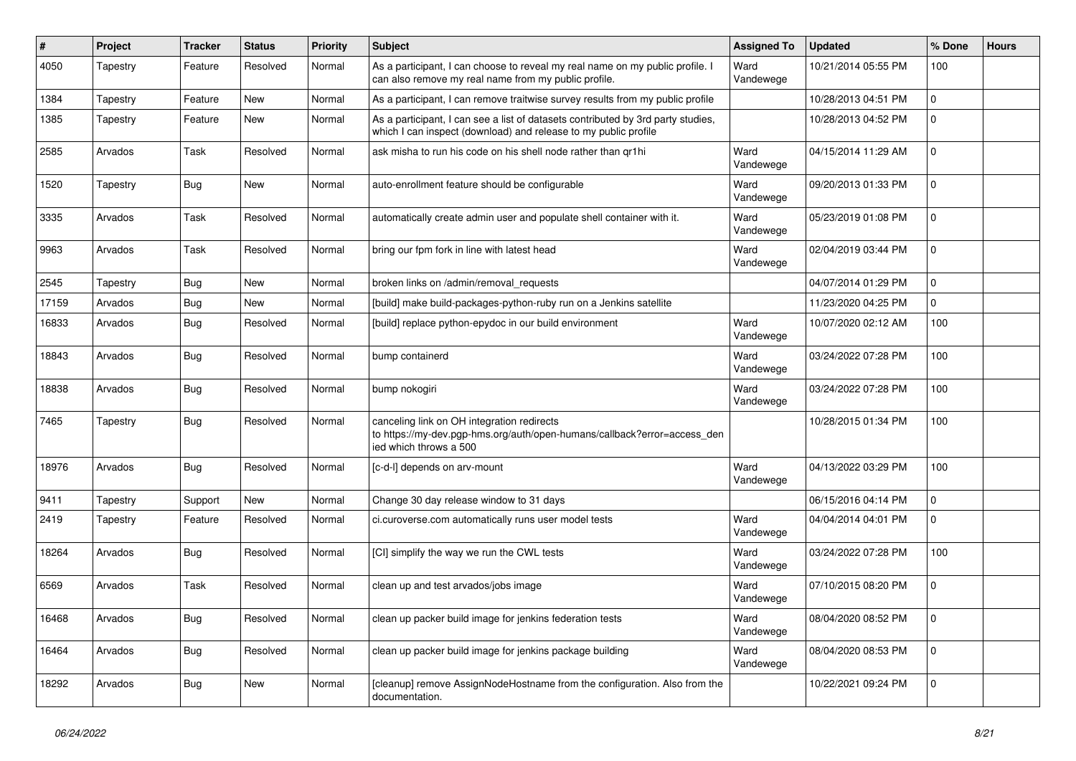| $\#$  | Project  | <b>Tracker</b> | <b>Status</b> | <b>Priority</b> | <b>Subject</b>                                                                                                                                      | <b>Assigned To</b> | <b>Updated</b>      | % Done      | <b>Hours</b> |
|-------|----------|----------------|---------------|-----------------|-----------------------------------------------------------------------------------------------------------------------------------------------------|--------------------|---------------------|-------------|--------------|
| 4050  | Tapestry | Feature        | Resolved      | Normal          | As a participant, I can choose to reveal my real name on my public profile. I<br>can also remove my real name from my public profile.               | Ward<br>Vandewege  | 10/21/2014 05:55 PM | 100         |              |
| 1384  | Tapestry | Feature        | New           | Normal          | As a participant, I can remove traitwise survey results from my public profile                                                                      |                    | 10/28/2013 04:51 PM | 0           |              |
| 1385  | Tapestry | Feature        | New           | Normal          | As a participant, I can see a list of datasets contributed by 3rd party studies,<br>which I can inspect (download) and release to my public profile |                    | 10/28/2013 04:52 PM | 0           |              |
| 2585  | Arvados  | Task           | Resolved      | Normal          | ask misha to run his code on his shell node rather than gr1hi                                                                                       | Ward<br>Vandewege  | 04/15/2014 11:29 AM | 0           |              |
| 1520  | Tapestry | <b>Bug</b>     | New           | Normal          | auto-enrollment feature should be configurable                                                                                                      | Ward<br>Vandewege  | 09/20/2013 01:33 PM | 0           |              |
| 3335  | Arvados  | Task           | Resolved      | Normal          | automatically create admin user and populate shell container with it.                                                                               | Ward<br>Vandewege  | 05/23/2019 01:08 PM | 0           |              |
| 9963  | Arvados  | Task           | Resolved      | Normal          | bring our fpm fork in line with latest head                                                                                                         | Ward<br>Vandewege  | 02/04/2019 03:44 PM | 0           |              |
| 2545  | Tapestry | Bug            | New           | Normal          | broken links on /admin/removal requests                                                                                                             |                    | 04/07/2014 01:29 PM | 0           |              |
| 17159 | Arvados  | Bug            | New           | Normal          | [build] make build-packages-python-ruby run on a Jenkins satellite                                                                                  |                    | 11/23/2020 04:25 PM | $\Omega$    |              |
| 16833 | Arvados  | <b>Bug</b>     | Resolved      | Normal          | [build] replace python-epydoc in our build environment                                                                                              | Ward<br>Vandewege  | 10/07/2020 02:12 AM | 100         |              |
| 18843 | Arvados  | Bug            | Resolved      | Normal          | bump containerd                                                                                                                                     | Ward<br>Vandewege  | 03/24/2022 07:28 PM | 100         |              |
| 18838 | Arvados  | Bug            | Resolved      | Normal          | bump nokogiri                                                                                                                                       | Ward<br>Vandewege  | 03/24/2022 07:28 PM | 100         |              |
| 7465  | Tapestry | Bug            | Resolved      | Normal          | canceling link on OH integration redirects<br>to https://my-dev.pgp-hms.org/auth/open-humans/callback?error=access_den<br>ied which throws a 500    |                    | 10/28/2015 01:34 PM | 100         |              |
| 18976 | Arvados  | Bug            | Resolved      | Normal          | [c-d-l] depends on arv-mount                                                                                                                        | Ward<br>Vandewege  | 04/13/2022 03:29 PM | 100         |              |
| 9411  | Tapestry | Support        | New           | Normal          | Change 30 day release window to 31 days                                                                                                             |                    | 06/15/2016 04:14 PM | 0           |              |
| 2419  | Tapestry | Feature        | Resolved      | Normal          | ci.curoverse.com automatically runs user model tests                                                                                                | Ward<br>Vandewege  | 04/04/2014 04:01 PM | 0           |              |
| 18264 | Arvados  | <b>Bug</b>     | Resolved      | Normal          | [CI] simplify the way we run the CWL tests                                                                                                          | Ward<br>Vandewege  | 03/24/2022 07:28 PM | 100         |              |
| 6569  | Arvados  | Task           | Resolved      | Normal          | clean up and test arvados/jobs image                                                                                                                | Ward<br>Vandewege  | 07/10/2015 08:20 PM | 0           |              |
| 16468 | Arvados  | Bug            | Resolved      | Normal          | clean up packer build image for jenkins federation tests                                                                                            | Ward<br>Vandewege  | 08/04/2020 08:52 PM | $\mathbf 0$ |              |
| 16464 | Arvados  | Bug            | Resolved      | Normal          | clean up packer build image for jenkins package building                                                                                            | Ward<br>Vandewege  | 08/04/2020 08:53 PM | $\mathbf 0$ |              |
| 18292 | Arvados  | <b>Bug</b>     | New           | Normal          | [cleanup] remove AssignNodeHostname from the configuration. Also from the<br>documentation.                                                         |                    | 10/22/2021 09:24 PM | $\mathbf 0$ |              |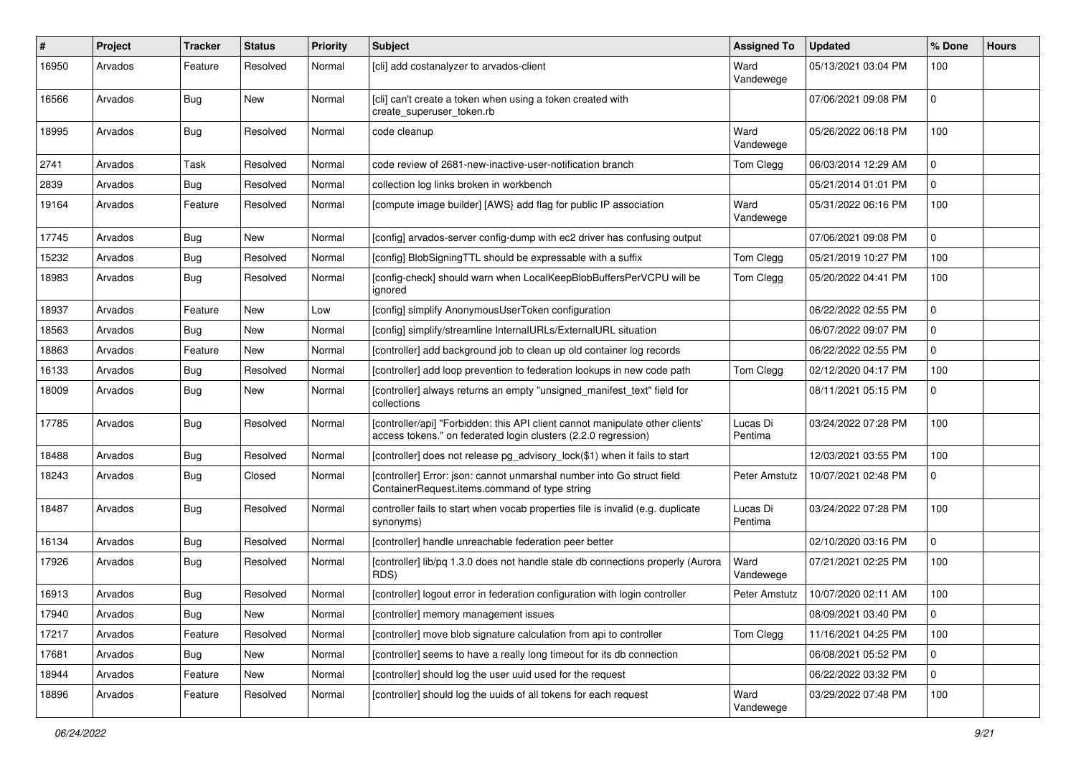| ∦     | Project | <b>Tracker</b> | <b>Status</b> | <b>Priority</b> | <b>Subject</b>                                                                                                                                  | <b>Assigned To</b>  | <b>Updated</b>      | % Done      | <b>Hours</b> |
|-------|---------|----------------|---------------|-----------------|-------------------------------------------------------------------------------------------------------------------------------------------------|---------------------|---------------------|-------------|--------------|
| 16950 | Arvados | Feature        | Resolved      | Normal          | [cli] add costanalyzer to arvados-client                                                                                                        | Ward<br>Vandewege   | 05/13/2021 03:04 PM | 100         |              |
| 16566 | Arvados | <b>Bug</b>     | New           | Normal          | [cli] can't create a token when using a token created with<br>create superuser token.rb                                                         |                     | 07/06/2021 09:08 PM | 0           |              |
| 18995 | Arvados | Bug            | Resolved      | Normal          | code cleanup                                                                                                                                    | Ward<br>Vandewege   | 05/26/2022 06:18 PM | 100         |              |
| 2741  | Arvados | Task           | Resolved      | Normal          | code review of 2681-new-inactive-user-notification branch                                                                                       | Tom Clegg           | 06/03/2014 12:29 AM | 0           |              |
| 2839  | Arvados | <b>Bug</b>     | Resolved      | Normal          | collection log links broken in workbench                                                                                                        |                     | 05/21/2014 01:01 PM | 0           |              |
| 19164 | Arvados | Feature        | Resolved      | Normal          | [compute image builder] [AWS] add flag for public IP association                                                                                | Ward<br>Vandewege   | 05/31/2022 06:16 PM | 100         |              |
| 17745 | Arvados | Bug            | <b>New</b>    | Normal          | [config] arvados-server config-dump with ec2 driver has confusing output                                                                        |                     | 07/06/2021 09:08 PM | 0           |              |
| 15232 | Arvados | Bug            | Resolved      | Normal          | [config] BlobSigningTTL should be expressable with a suffix                                                                                     | Tom Clegg           | 05/21/2019 10:27 PM | 100         |              |
| 18983 | Arvados | Bug            | Resolved      | Normal          | [config-check] should warn when LocalKeepBlobBuffersPerVCPU will be<br>ignored                                                                  | Tom Clegg           | 05/20/2022 04:41 PM | 100         |              |
| 18937 | Arvados | Feature        | <b>New</b>    | Low             | [config] simplify AnonymousUserToken configuration                                                                                              |                     | 06/22/2022 02:55 PM | 0           |              |
| 18563 | Arvados | Bug            | New           | Normal          | [config] simplify/streamline InternalURLs/ExternalURL situation                                                                                 |                     | 06/07/2022 09:07 PM | $\Omega$    |              |
| 18863 | Arvados | Feature        | New           | Normal          | [controller] add background job to clean up old container log records                                                                           |                     | 06/22/2022 02:55 PM | 0           |              |
| 16133 | Arvados | Bug            | Resolved      | Normal          | [controller] add loop prevention to federation lookups in new code path                                                                         | Tom Clegg           | 02/12/2020 04:17 PM | 100         |              |
| 18009 | Arvados | Bug            | New           | Normal          | [controller] always returns an empty "unsigned_manifest_text" field for<br>collections                                                          |                     | 08/11/2021 05:15 PM | 0           |              |
| 17785 | Arvados | <b>Bug</b>     | Resolved      | Normal          | [controller/api] "Forbidden: this API client cannot manipulate other clients'<br>access tokens." on federated login clusters (2.2.0 regression) | Lucas Di<br>Pentima | 03/24/2022 07:28 PM | 100         |              |
| 18488 | Arvados | <b>Bug</b>     | Resolved      | Normal          | [controller] does not release pg_advisory_lock(\$1) when it fails to start                                                                      |                     | 12/03/2021 03:55 PM | 100         |              |
| 18243 | Arvados | <b>Bug</b>     | Closed        | Normal          | [controller] Error: json: cannot unmarshal number into Go struct field<br>ContainerRequest.items.command of type string                         | Peter Amstutz       | 10/07/2021 02:48 PM | 0           |              |
| 18487 | Arvados | Bug            | Resolved      | Normal          | controller fails to start when vocab properties file is invalid (e.g. duplicate<br>synonyms)                                                    | Lucas Di<br>Pentima | 03/24/2022 07:28 PM | 100         |              |
| 16134 | Arvados | Bug            | Resolved      | Normal          | [controller] handle unreachable federation peer better                                                                                          |                     | 02/10/2020 03:16 PM | 0           |              |
| 17926 | Arvados | <b>Bug</b>     | Resolved      | Normal          | [controller] lib/pq 1.3.0 does not handle stale db connections properly (Aurora<br>RDS)                                                         | Ward<br>Vandewege   | 07/21/2021 02:25 PM | 100         |              |
| 16913 | Arvados | Bug            | Resolved      | Normal          | [controller] logout error in federation configuration with login controller                                                                     | Peter Amstutz       | 10/07/2020 02:11 AM | 100         |              |
| 17940 | Arvados | Bug            | New           | Normal          | [controller] memory management issues                                                                                                           |                     | 08/09/2021 03:40 PM | l 0         |              |
| 17217 | Arvados | Feature        | Resolved      | Normal          | [controller] move blob signature calculation from api to controller                                                                             | Tom Clegg           | 11/16/2021 04:25 PM | 100         |              |
| 17681 | Arvados | Bug            | New           | Normal          | [controller] seems to have a really long timeout for its db connection                                                                          |                     | 06/08/2021 05:52 PM | $\mathbf 0$ |              |
| 18944 | Arvados | Feature        | New           | Normal          | [controller] should log the user uuid used for the request                                                                                      |                     | 06/22/2022 03:32 PM | 0           |              |
| 18896 | Arvados | Feature        | Resolved      | Normal          | [controller] should log the uuids of all tokens for each request                                                                                | Ward<br>Vandewege   | 03/29/2022 07:48 PM | 100         |              |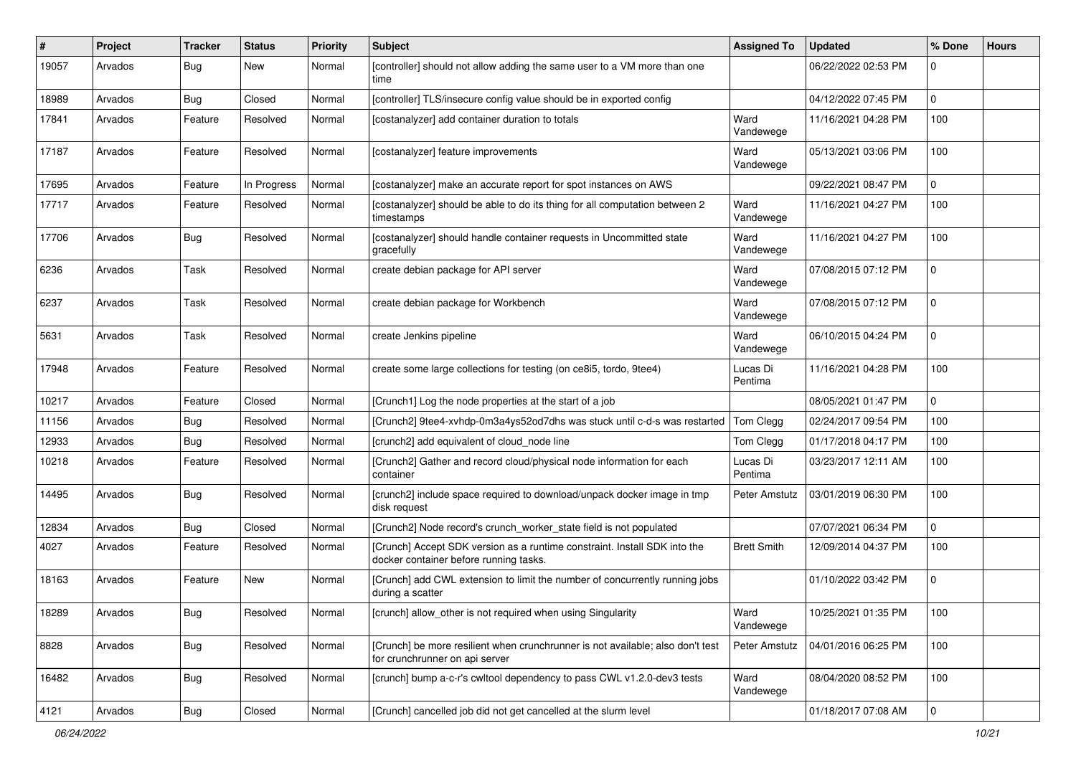| #     | Project | Tracker    | <b>Status</b> | <b>Priority</b> | Subject                                                                                                             | <b>Assigned To</b>  | <b>Updated</b>      | % Done         | <b>Hours</b> |
|-------|---------|------------|---------------|-----------------|---------------------------------------------------------------------------------------------------------------------|---------------------|---------------------|----------------|--------------|
| 19057 | Arvados | <b>Bug</b> | New           | Normal          | [controller] should not allow adding the same user to a VM more than one<br>time                                    |                     | 06/22/2022 02:53 PM | 0              |              |
| 18989 | Arvados | Bug        | Closed        | Normal          | [controller] TLS/insecure config value should be in exported config                                                 |                     | 04/12/2022 07:45 PM | $\mathbf 0$    |              |
| 17841 | Arvados | Feature    | Resolved      | Normal          | [costanalyzer] add container duration to totals                                                                     | Ward<br>Vandewege   | 11/16/2021 04:28 PM | 100            |              |
| 17187 | Arvados | Feature    | Resolved      | Normal          | [costanalyzer] feature improvements                                                                                 | Ward<br>Vandewege   | 05/13/2021 03:06 PM | 100            |              |
| 17695 | Arvados | Feature    | In Progress   | Normal          | [costanalyzer] make an accurate report for spot instances on AWS                                                    |                     | 09/22/2021 08:47 PM | 0              |              |
| 17717 | Arvados | Feature    | Resolved      | Normal          | [costanalyzer] should be able to do its thing for all computation between 2<br>timestamps                           | Ward<br>Vandewege   | 11/16/2021 04:27 PM | 100            |              |
| 17706 | Arvados | Bug        | Resolved      | Normal          | [costanalyzer] should handle container requests in Uncommitted state<br>gracefully                                  | Ward<br>Vandewege   | 11/16/2021 04:27 PM | 100            |              |
| 6236  | Arvados | Task       | Resolved      | Normal          | create debian package for API server                                                                                | Ward<br>Vandewege   | 07/08/2015 07:12 PM | 0              |              |
| 6237  | Arvados | Task       | Resolved      | Normal          | create debian package for Workbench                                                                                 | Ward<br>Vandewege   | 07/08/2015 07:12 PM | $\mathbf 0$    |              |
| 5631  | Arvados | Task       | Resolved      | Normal          | create Jenkins pipeline                                                                                             | Ward<br>Vandewege   | 06/10/2015 04:24 PM | 0              |              |
| 17948 | Arvados | Feature    | Resolved      | Normal          | create some large collections for testing (on ce8i5, tordo, 9tee4)                                                  | Lucas Di<br>Pentima | 11/16/2021 04:28 PM | 100            |              |
| 10217 | Arvados | Feature    | Closed        | Normal          | [Crunch1] Log the node properties at the start of a job                                                             |                     | 08/05/2021 01:47 PM | $\overline{0}$ |              |
| 11156 | Arvados | Bug        | Resolved      | Normal          | [Crunch2] 9tee4-xvhdp-0m3a4ys52od7dhs was stuck until c-d-s was restarted                                           | Tom Clegg           | 02/24/2017 09:54 PM | 100            |              |
| 12933 | Arvados | Bug        | Resolved      | Normal          | [crunch2] add equivalent of cloud node line                                                                         | Tom Clegg           | 01/17/2018 04:17 PM | 100            |              |
| 10218 | Arvados | Feature    | Resolved      | Normal          | [Crunch2] Gather and record cloud/physical node information for each<br>container                                   | Lucas Di<br>Pentima | 03/23/2017 12:11 AM | 100            |              |
| 14495 | Arvados | Bug        | Resolved      | Normal          | [crunch2] include space required to download/unpack docker image in tmp<br>disk request                             | Peter Amstutz       | 03/01/2019 06:30 PM | 100            |              |
| 12834 | Arvados | <b>Bug</b> | Closed        | Normal          | [Crunch2] Node record's crunch_worker_state field is not populated                                                  |                     | 07/07/2021 06:34 PM | 0              |              |
| 4027  | Arvados | Feature    | Resolved      | Normal          | [Crunch] Accept SDK version as a runtime constraint. Install SDK into the<br>docker container before running tasks. | <b>Brett Smith</b>  | 12/09/2014 04:37 PM | 100            |              |
| 18163 | Arvados | Feature    | New           | Normal          | [Crunch] add CWL extension to limit the number of concurrently running jobs<br>during a scatter                     |                     | 01/10/2022 03:42 PM | 0              |              |
| 18289 | Arvados | <b>Bug</b> | Resolved      | Normal          | [crunch] allow_other is not required when using Singularity                                                         | Ward<br>Vandewege   | 10/25/2021 01:35 PM | 100            |              |
| 8828  | Arvados | Bug        | Resolved      | Normal          | [Crunch] be more resilient when crunchrunner is not available; also don't test<br>for crunchrunner on api server    | Peter Amstutz       | 04/01/2016 06:25 PM | 100            |              |
| 16482 | Arvados | <b>Bug</b> | Resolved      | Normal          | [crunch] bump a-c-r's cwltool dependency to pass CWL v1.2.0-dev3 tests                                              | Ward<br>Vandewege   | 08/04/2020 08:52 PM | 100            |              |
| 4121  | Arvados | <b>Bug</b> | Closed        | Normal          | [Crunch] cancelled job did not get cancelled at the slurm level                                                     |                     | 01/18/2017 07:08 AM | $\mathbf 0$    |              |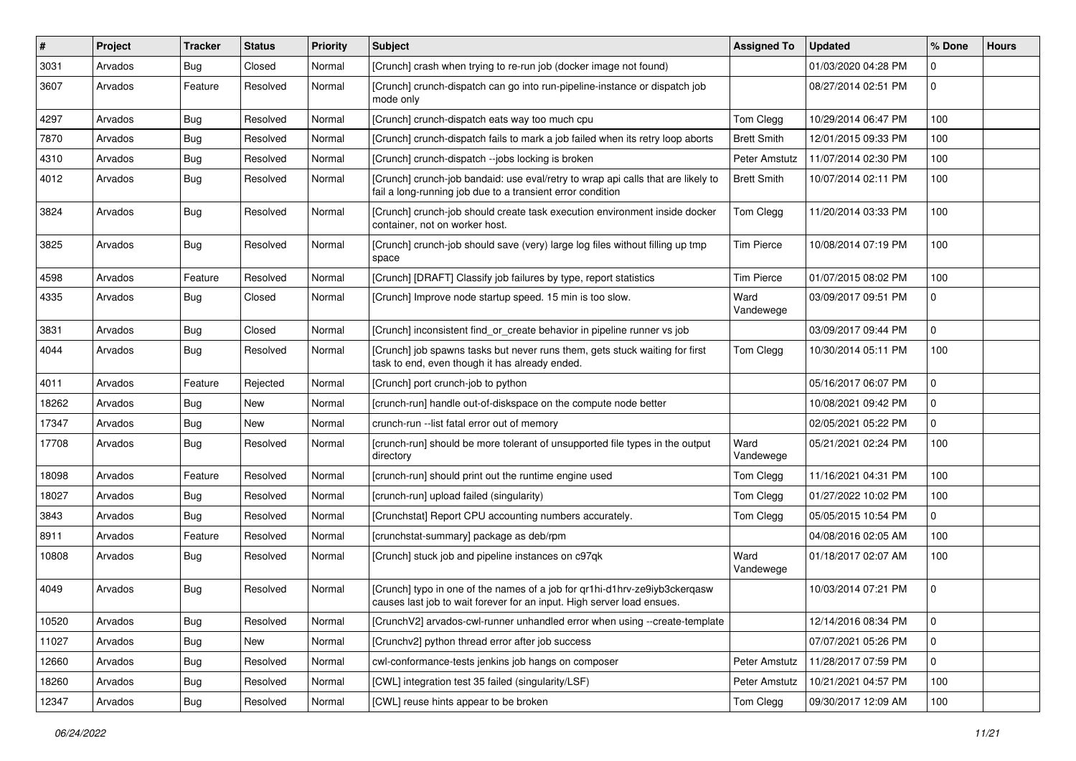| $\sharp$ | Project | Tracker    | <b>Status</b> | <b>Priority</b> | Subject                                                                                                                                              | <b>Assigned To</b> | <b>Updated</b>      | % Done      | <b>Hours</b> |
|----------|---------|------------|---------------|-----------------|------------------------------------------------------------------------------------------------------------------------------------------------------|--------------------|---------------------|-------------|--------------|
| 3031     | Arvados | <b>Bug</b> | Closed        | Normal          | [Crunch] crash when trying to re-run job (docker image not found)                                                                                    |                    | 01/03/2020 04:28 PM | 0           |              |
| 3607     | Arvados | Feature    | Resolved      | Normal          | [Crunch] crunch-dispatch can go into run-pipeline-instance or dispatch job<br>mode only                                                              |                    | 08/27/2014 02:51 PM | $\Omega$    |              |
| 4297     | Arvados | <b>Bug</b> | Resolved      | Normal          | [Crunch] crunch-dispatch eats way too much cpu                                                                                                       | Tom Clegg          | 10/29/2014 06:47 PM | 100         |              |
| 7870     | Arvados | <b>Bug</b> | Resolved      | Normal          | [Crunch] crunch-dispatch fails to mark a job failed when its retry loop aborts                                                                       | <b>Brett Smith</b> | 12/01/2015 09:33 PM | 100         |              |
| 4310     | Arvados | <b>Bug</b> | Resolved      | Normal          | [Crunch] crunch-dispatch --jobs locking is broken                                                                                                    | Peter Amstutz      | 11/07/2014 02:30 PM | 100         |              |
| 4012     | Arvados | Bug        | Resolved      | Normal          | [Crunch] crunch-job bandaid: use eval/retry to wrap api calls that are likely to<br>fail a long-running job due to a transient error condition       | <b>Brett Smith</b> | 10/07/2014 02:11 PM | 100         |              |
| 3824     | Arvados | <b>Bug</b> | Resolved      | Normal          | [Crunch] crunch-job should create task execution environment inside docker<br>container, not on worker host.                                         | Tom Clegg          | 11/20/2014 03:33 PM | 100         |              |
| 3825     | Arvados | <b>Bug</b> | Resolved      | Normal          | [Crunch] crunch-job should save (very) large log files without filling up tmp<br>space                                                               | <b>Tim Pierce</b>  | 10/08/2014 07:19 PM | 100         |              |
| 4598     | Arvados | Feature    | Resolved      | Normal          | [Crunch] [DRAFT] Classify job failures by type, report statistics                                                                                    | <b>Tim Pierce</b>  | 01/07/2015 08:02 PM | 100         |              |
| 4335     | Arvados | <b>Bug</b> | Closed        | Normal          | [Crunch] Improve node startup speed. 15 min is too slow.                                                                                             | Ward<br>Vandewege  | 03/09/2017 09:51 PM | $\Omega$    |              |
| 3831     | Arvados | Bug        | Closed        | Normal          | [Crunch] inconsistent find_or_create behavior in pipeline runner vs job                                                                              |                    | 03/09/2017 09:44 PM | $\mathbf 0$ |              |
| 4044     | Arvados | <b>Bug</b> | Resolved      | Normal          | [Crunch] job spawns tasks but never runs them, gets stuck waiting for first<br>task to end, even though it has already ended.                        | Tom Clegg          | 10/30/2014 05:11 PM | 100         |              |
| 4011     | Arvados | Feature    | Rejected      | Normal          | [Crunch] port crunch-job to python                                                                                                                   |                    | 05/16/2017 06:07 PM | $\Omega$    |              |
| 18262    | Arvados | Bug        | New           | Normal          | [crunch-run] handle out-of-diskspace on the compute node better                                                                                      |                    | 10/08/2021 09:42 PM | 0           |              |
| 17347    | Arvados | <b>Bug</b> | <b>New</b>    | Normal          | crunch-run --list fatal error out of memory                                                                                                          |                    | 02/05/2021 05:22 PM | $\Omega$    |              |
| 17708    | Arvados | <b>Bug</b> | Resolved      | Normal          | [crunch-run] should be more tolerant of unsupported file types in the output<br>directory                                                            | Ward<br>Vandewege  | 05/21/2021 02:24 PM | 100         |              |
| 18098    | Arvados | Feature    | Resolved      | Normal          | [crunch-run] should print out the runtime engine used                                                                                                | Tom Clegg          | 11/16/2021 04:31 PM | 100         |              |
| 18027    | Arvados | <b>Bug</b> | Resolved      | Normal          | [crunch-run] upload failed (singularity)                                                                                                             | Tom Clegg          | 01/27/2022 10:02 PM | 100         |              |
| 3843     | Arvados | <b>Bug</b> | Resolved      | Normal          | [Crunchstat] Report CPU accounting numbers accurately.                                                                                               | Tom Clegg          | 05/05/2015 10:54 PM | $\Omega$    |              |
| 8911     | Arvados | Feature    | Resolved      | Normal          | [crunchstat-summary] package as deb/rpm                                                                                                              |                    | 04/08/2016 02:05 AM | 100         |              |
| 10808    | Arvados | <b>Bug</b> | Resolved      | Normal          | [Crunch] stuck job and pipeline instances on c97qk                                                                                                   | Ward<br>Vandewege  | 01/18/2017 02:07 AM | 100         |              |
| 4049     | Arvados | <b>Bug</b> | Resolved      | Normal          | [Crunch] typo in one of the names of a job for qr1hi-d1hrv-ze9iyb3ckerqasw<br>causes last job to wait forever for an input. High server load ensues. |                    | 10/03/2014 07:21 PM | $\Omega$    |              |
| 10520    | Arvados | Bug        | Resolved      | Normal          | [CrunchV2] arvados-cwl-runner unhandled error when using --create-template                                                                           |                    | 12/14/2016 08:34 PM | $\mathbf 0$ |              |
| 11027    | Arvados | <b>Bug</b> | New           | Normal          | [Crunchv2] python thread error after job success                                                                                                     |                    | 07/07/2021 05:26 PM | 0           |              |
| 12660    | Arvados | <b>Bug</b> | Resolved      | Normal          | cwl-conformance-tests jenkins job hangs on composer                                                                                                  | Peter Amstutz      | 11/28/2017 07:59 PM | $\mathbf 0$ |              |
| 18260    | Arvados | <b>Bug</b> | Resolved      | Normal          | [CWL] integration test 35 failed (singularity/LSF)                                                                                                   | Peter Amstutz      | 10/21/2021 04:57 PM | 100         |              |
| 12347    | Arvados | Bug        | Resolved      | Normal          | [CWL] reuse hints appear to be broken                                                                                                                | Tom Clegg          | 09/30/2017 12:09 AM | 100         |              |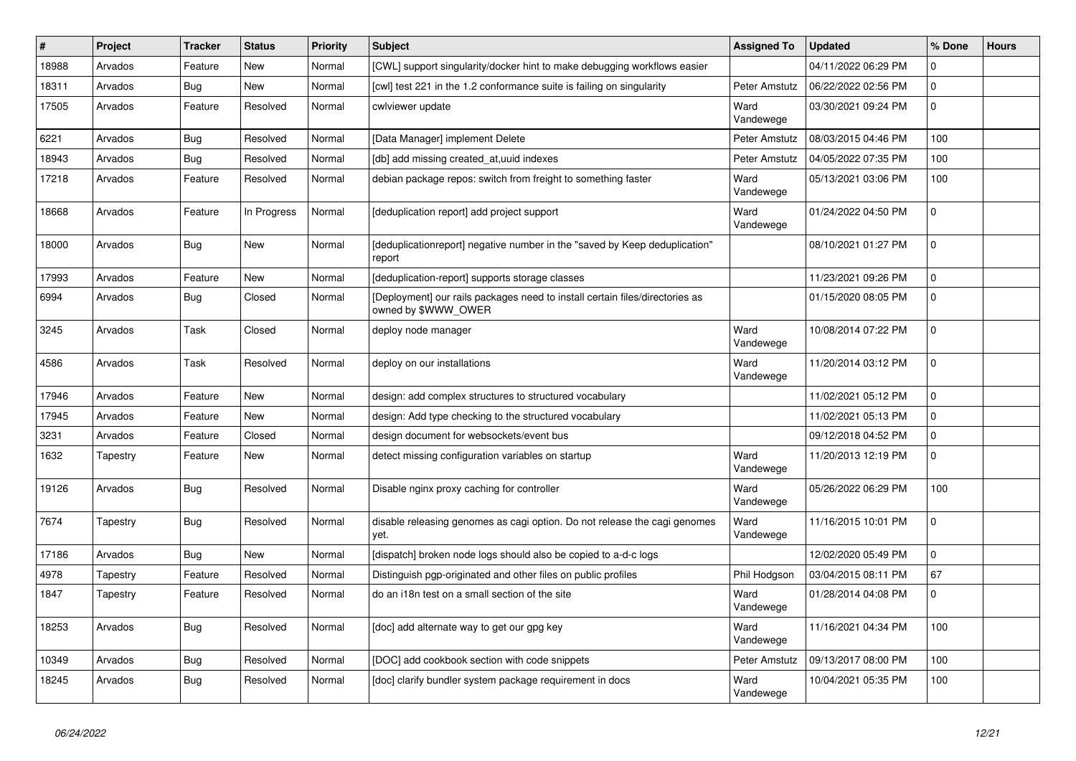| #     | Project  | <b>Tracker</b> | <b>Status</b> | <b>Priority</b> | <b>Subject</b>                                                                                      | <b>Assigned To</b> | <b>Updated</b>      | % Done   | <b>Hours</b> |
|-------|----------|----------------|---------------|-----------------|-----------------------------------------------------------------------------------------------------|--------------------|---------------------|----------|--------------|
| 18988 | Arvados  | Feature        | New           | Normal          | [CWL] support singularity/docker hint to make debugging workflows easier                            |                    | 04/11/2022 06:29 PM | $\Omega$ |              |
| 18311 | Arvados  | <b>Bug</b>     | <b>New</b>    | Normal          | [cwl] test 221 in the 1.2 conformance suite is failing on singularity                               | Peter Amstutz      | 06/22/2022 02:56 PM | $\Omega$ |              |
| 17505 | Arvados  | Feature        | Resolved      | Normal          | cwlviewer update                                                                                    | Ward<br>Vandewege  | 03/30/2021 09:24 PM | $\Omega$ |              |
| 6221  | Arvados  | Bug            | Resolved      | Normal          | [Data Manager] implement Delete                                                                     | Peter Amstutz      | 08/03/2015 04:46 PM | 100      |              |
| 18943 | Arvados  | <b>Bug</b>     | Resolved      | Normal          | [db] add missing created at,uuid indexes                                                            | Peter Amstutz      | 04/05/2022 07:35 PM | 100      |              |
| 17218 | Arvados  | Feature        | Resolved      | Normal          | debian package repos: switch from freight to something faster                                       | Ward<br>Vandewege  | 05/13/2021 03:06 PM | 100      |              |
| 18668 | Arvados  | Feature        | In Progress   | Normal          | deduplication report] add project support                                                           | Ward<br>Vandewege  | 01/24/2022 04:50 PM | $\Omega$ |              |
| 18000 | Arvados  | <b>Bug</b>     | New           | Normal          | [deduplicationreport] negative number in the "saved by Keep deduplication"<br>report                |                    | 08/10/2021 01:27 PM | $\Omega$ |              |
| 17993 | Arvados  | Feature        | New           | Normal          | [deduplication-report] supports storage classes                                                     |                    | 11/23/2021 09:26 PM | $\Omega$ |              |
| 6994  | Arvados  | Bug            | Closed        | Normal          | [Deployment] our rails packages need to install certain files/directories as<br>owned by \$WWW_OWER |                    | 01/15/2020 08:05 PM | $\Omega$ |              |
| 3245  | Arvados  | Task           | Closed        | Normal          | deploy node manager                                                                                 | Ward<br>Vandewege  | 10/08/2014 07:22 PM | $\Omega$ |              |
| 4586  | Arvados  | Task           | Resolved      | Normal          | deploy on our installations                                                                         | Ward<br>Vandewege  | 11/20/2014 03:12 PM | $\Omega$ |              |
| 17946 | Arvados  | Feature        | New           | Normal          | design: add complex structures to structured vocabulary                                             |                    | 11/02/2021 05:12 PM | $\Omega$ |              |
| 17945 | Arvados  | Feature        | New           | Normal          | design: Add type checking to the structured vocabulary                                              |                    | 11/02/2021 05:13 PM | $\Omega$ |              |
| 3231  | Arvados  | Feature        | Closed        | Normal          | design document for websockets/event bus                                                            |                    | 09/12/2018 04:52 PM | $\Omega$ |              |
| 1632  | Tapestry | Feature        | New           | Normal          | detect missing configuration variables on startup                                                   | Ward<br>Vandewege  | 11/20/2013 12:19 PM | $\Omega$ |              |
| 19126 | Arvados  | <b>Bug</b>     | Resolved      | Normal          | Disable nginx proxy caching for controller                                                          | Ward<br>Vandewege  | 05/26/2022 06:29 PM | 100      |              |
| 7674  | Tapestry | <b>Bug</b>     | Resolved      | Normal          | disable releasing genomes as cagi option. Do not release the cagi genomes<br>yet.                   | Ward<br>Vandewege  | 11/16/2015 10:01 PM | $\Omega$ |              |
| 17186 | Arvados  | <b>Bug</b>     | New           | Normal          | [dispatch] broken node logs should also be copied to a-d-c logs                                     |                    | 12/02/2020 05:49 PM | $\Omega$ |              |
| 4978  | Tapestry | Feature        | Resolved      | Normal          | Distinguish pgp-originated and other files on public profiles                                       | Phil Hodgson       | 03/04/2015 08:11 PM | 67       |              |
| 1847  | Tapestry | Feature        | Resolved      | Normal          | do an i18n test on a small section of the site                                                      | Ward<br>Vandewege  | 01/28/2014 04:08 PM | $\Omega$ |              |
| 18253 | Arvados  | Bug            | Resolved      | Normal          | [doc] add alternate way to get our gpg key                                                          | Ward<br>Vandewege  | 11/16/2021 04:34 PM | 100      |              |
| 10349 | Arvados  | <b>Bug</b>     | Resolved      | Normal          | [DOC] add cookbook section with code snippets                                                       | Peter Amstutz      | 09/13/2017 08:00 PM | 100      |              |
| 18245 | Arvados  | Bug            | Resolved      | Normal          | [doc] clarify bundler system package requirement in docs                                            | Ward<br>Vandewege  | 10/04/2021 05:35 PM | 100      |              |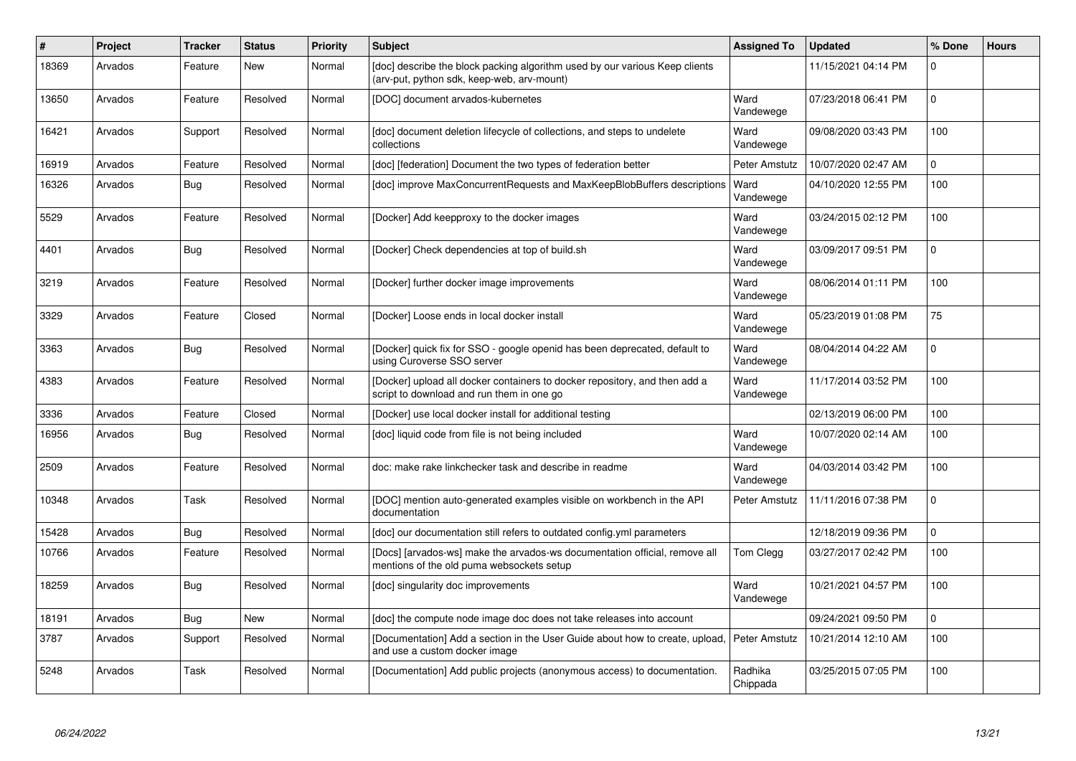| #     | <b>Project</b> | <b>Tracker</b> | <b>Status</b> | <b>Priority</b> | <b>Subject</b>                                                                                                            | <b>Assigned To</b>  | <b>Updated</b>      | % Done         | <b>Hours</b> |
|-------|----------------|----------------|---------------|-----------------|---------------------------------------------------------------------------------------------------------------------------|---------------------|---------------------|----------------|--------------|
| 18369 | Arvados        | Feature        | <b>New</b>    | Normal          | [doc] describe the block packing algorithm used by our various Keep clients<br>(arv-put, python sdk, keep-web, arv-mount) |                     | 11/15/2021 04:14 PM | $\Omega$       |              |
| 13650 | Arvados        | Feature        | Resolved      | Normal          | [DOC] document arvados-kubernetes                                                                                         | Ward<br>Vandewege   | 07/23/2018 06:41 PM | $\Omega$       |              |
| 16421 | Arvados        | Support        | Resolved      | Normal          | [doc] document deletion lifecycle of collections, and steps to undelete<br>collections                                    | Ward<br>Vandewege   | 09/08/2020 03:43 PM | 100            |              |
| 16919 | Arvados        | Feature        | Resolved      | Normal          | [doc] [federation] Document the two types of federation better                                                            | Peter Amstutz       | 10/07/2020 02:47 AM | $\mathbf{0}$   |              |
| 16326 | Arvados        | <b>Bug</b>     | Resolved      | Normal          | [doc] improve MaxConcurrentRequests and MaxKeepBlobBuffers descriptions                                                   | Ward<br>Vandewege   | 04/10/2020 12:55 PM | 100            |              |
| 5529  | Arvados        | Feature        | Resolved      | Normal          | [Docker] Add keepproxy to the docker images                                                                               | Ward<br>Vandewege   | 03/24/2015 02:12 PM | 100            |              |
| 4401  | Arvados        | <b>Bug</b>     | Resolved      | Normal          | [Docker] Check dependencies at top of build.sh                                                                            | Ward<br>Vandewege   | 03/09/2017 09:51 PM | $\Omega$       |              |
| 3219  | Arvados        | Feature        | Resolved      | Normal          | [Docker] further docker image improvements                                                                                | Ward<br>Vandewege   | 08/06/2014 01:11 PM | 100            |              |
| 3329  | Arvados        | Feature        | Closed        | Normal          | [Docker] Loose ends in local docker install                                                                               | Ward<br>Vandewege   | 05/23/2019 01:08 PM | 75             |              |
| 3363  | Arvados        | Bug            | Resolved      | Normal          | [Docker] quick fix for SSO - google openid has been deprecated, default to<br>using Curoverse SSO server                  | Ward<br>Vandewege   | 08/04/2014 04:22 AM | $\Omega$       |              |
| 4383  | Arvados        | Feature        | Resolved      | Normal          | [Docker] upload all docker containers to docker repository, and then add a<br>script to download and run them in one go   | Ward<br>Vandewege   | 11/17/2014 03:52 PM | 100            |              |
| 3336  | Arvados        | Feature        | Closed        | Normal          | [Docker] use local docker install for additional testing                                                                  |                     | 02/13/2019 06:00 PM | 100            |              |
| 16956 | Arvados        | <b>Bug</b>     | Resolved      | Normal          | [doc] liquid code from file is not being included                                                                         | Ward<br>Vandewege   | 10/07/2020 02:14 AM | 100            |              |
| 2509  | Arvados        | Feature        | Resolved      | Normal          | doc: make rake linkchecker task and describe in readme                                                                    | Ward<br>Vandewege   | 04/03/2014 03:42 PM | 100            |              |
| 10348 | Arvados        | Task           | Resolved      | Normal          | [DOC] mention auto-generated examples visible on workbench in the API<br>documentation                                    | Peter Amstutz       | 11/11/2016 07:38 PM | $\Omega$       |              |
| 15428 | Arvados        | <b>Bug</b>     | Resolved      | Normal          | [doc] our documentation still refers to outdated config.yml parameters                                                    |                     | 12/18/2019 09:36 PM | $\Omega$       |              |
| 10766 | Arvados        | Feature        | Resolved      | Normal          | [Docs] [arvados-ws] make the arvados-ws documentation official, remove all<br>mentions of the old puma websockets setup   | Tom Clegg           | 03/27/2017 02:42 PM | 100            |              |
| 18259 | Arvados        | <b>Bug</b>     | Resolved      | Normal          | [doc] singularity doc improvements                                                                                        | Ward<br>Vandewege   | 10/21/2021 04:57 PM | 100            |              |
| 18191 | Arvados        | Bug            | New           | Normal          | [doc] the compute node image doc does not take releases into account                                                      |                     | 09/24/2021 09:50 PM | $\overline{0}$ |              |
| 3787  | Arvados        | Support        | Resolved      | Normal          | [Documentation] Add a section in the User Guide about how to create, upload.<br>and use a custom docker image             | Peter Amstutz       | 10/21/2014 12:10 AM | 100            |              |
| 5248  | Arvados        | Task           | Resolved      | Normal          | [Documentation] Add public projects (anonymous access) to documentation.                                                  | Radhika<br>Chippada | 03/25/2015 07:05 PM | 100            |              |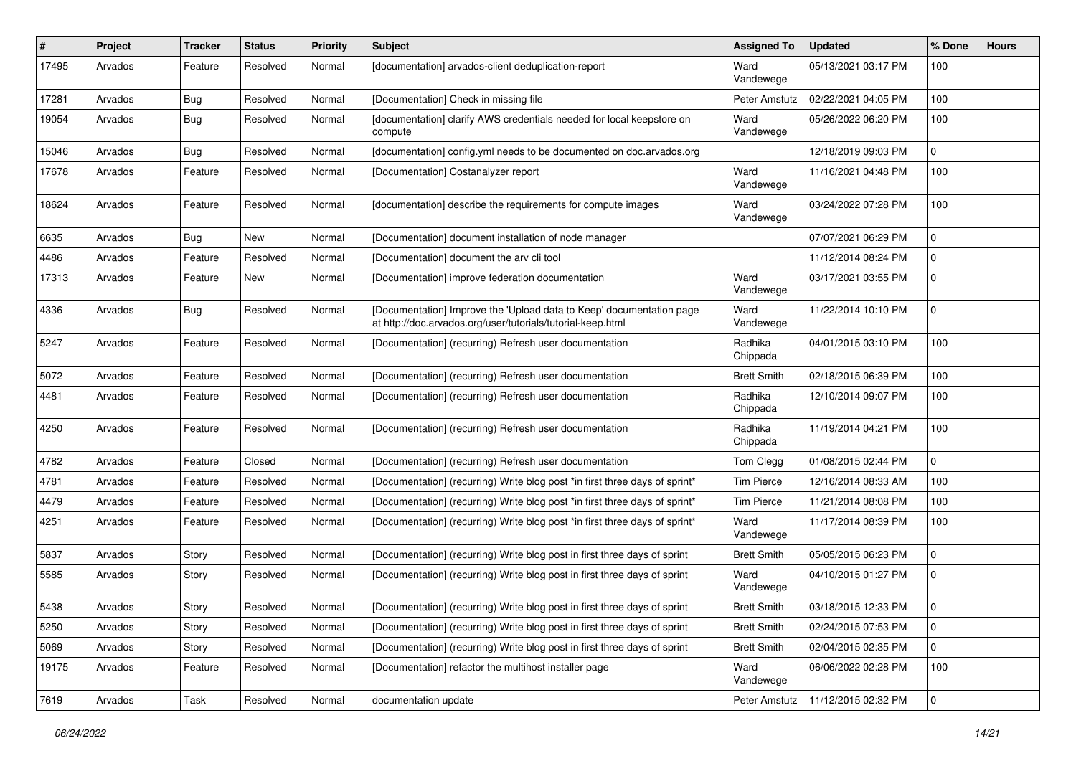| #     | Project | <b>Tracker</b> | <b>Status</b> | <b>Priority</b> | Subject                                                                                                                             | <b>Assigned To</b>  | <b>Updated</b>      | % Done      | <b>Hours</b> |
|-------|---------|----------------|---------------|-----------------|-------------------------------------------------------------------------------------------------------------------------------------|---------------------|---------------------|-------------|--------------|
| 17495 | Arvados | Feature        | Resolved      | Normal          | [documentation] arvados-client deduplication-report                                                                                 | Ward<br>Vandewege   | 05/13/2021 03:17 PM | 100         |              |
| 17281 | Arvados | Bug            | Resolved      | Normal          | [Documentation] Check in missing file                                                                                               | Peter Amstutz       | 02/22/2021 04:05 PM | 100         |              |
| 19054 | Arvados | Bug            | Resolved      | Normal          | [documentation] clarify AWS credentials needed for local keepstore on<br>compute                                                    | Ward<br>Vandewege   | 05/26/2022 06:20 PM | 100         |              |
| 15046 | Arvados | <b>Bug</b>     | Resolved      | Normal          | [documentation] config.yml needs to be documented on doc.arvados.org                                                                |                     | 12/18/2019 09:03 PM | 0           |              |
| 17678 | Arvados | Feature        | Resolved      | Normal          | [Documentation] Costanalyzer report                                                                                                 | Ward<br>Vandewege   | 11/16/2021 04:48 PM | 100         |              |
| 18624 | Arvados | Feature        | Resolved      | Normal          | [documentation] describe the requirements for compute images                                                                        | Ward<br>Vandewege   | 03/24/2022 07:28 PM | 100         |              |
| 6635  | Arvados | <b>Bug</b>     | <b>New</b>    | Normal          | [Documentation] document installation of node manager                                                                               |                     | 07/07/2021 06:29 PM | 0           |              |
| 4486  | Arvados | Feature        | Resolved      | Normal          | [Documentation] document the arv cli tool                                                                                           |                     | 11/12/2014 08:24 PM | 0           |              |
| 17313 | Arvados | Feature        | New           | Normal          | [Documentation] improve federation documentation                                                                                    | Ward<br>Vandewege   | 03/17/2021 03:55 PM | 0           |              |
| 4336  | Arvados | Bug            | Resolved      | Normal          | [Documentation] Improve the 'Upload data to Keep' documentation page<br>at http://doc.arvados.org/user/tutorials/tutorial-keep.html | Ward<br>Vandewege   | 11/22/2014 10:10 PM | 0           |              |
| 5247  | Arvados | Feature        | Resolved      | Normal          | [Documentation] (recurring) Refresh user documentation                                                                              | Radhika<br>Chippada | 04/01/2015 03:10 PM | 100         |              |
| 5072  | Arvados | Feature        | Resolved      | Normal          | [Documentation] (recurring) Refresh user documentation                                                                              | <b>Brett Smith</b>  | 02/18/2015 06:39 PM | 100         |              |
| 4481  | Arvados | Feature        | Resolved      | Normal          | [Documentation] (recurring) Refresh user documentation                                                                              | Radhika<br>Chippada | 12/10/2014 09:07 PM | 100         |              |
| 4250  | Arvados | Feature        | Resolved      | Normal          | [Documentation] (recurring) Refresh user documentation                                                                              | Radhika<br>Chippada | 11/19/2014 04:21 PM | 100         |              |
| 4782  | Arvados | Feature        | Closed        | Normal          | [Documentation] (recurring) Refresh user documentation                                                                              | Tom Clegg           | 01/08/2015 02:44 PM | 0           |              |
| 4781  | Arvados | Feature        | Resolved      | Normal          | [Documentation] (recurring) Write blog post *in first three days of sprint*                                                         | <b>Tim Pierce</b>   | 12/16/2014 08:33 AM | 100         |              |
| 4479  | Arvados | Feature        | Resolved      | Normal          | [Documentation] (recurring) Write blog post *in first three days of sprint*                                                         | <b>Tim Pierce</b>   | 11/21/2014 08:08 PM | 100         |              |
| 4251  | Arvados | Feature        | Resolved      | Normal          | [Documentation] (recurring) Write blog post *in first three days of sprint*                                                         | Ward<br>Vandewege   | 11/17/2014 08:39 PM | 100         |              |
| 5837  | Arvados | Story          | Resolved      | Normal          | [Documentation] (recurring) Write blog post in first three days of sprint                                                           | <b>Brett Smith</b>  | 05/05/2015 06:23 PM | 0           |              |
| 5585  | Arvados | Story          | Resolved      | Normal          | [Documentation] (recurring) Write blog post in first three days of sprint                                                           | Ward<br>Vandewege   | 04/10/2015 01:27 PM | 0           |              |
| 5438  | Arvados | Story          | Resolved      | Normal          | [Documentation] (recurring) Write blog post in first three days of sprint                                                           | <b>Brett Smith</b>  | 03/18/2015 12:33 PM | $\mathbf 0$ |              |
| 5250  | Arvados | Story          | Resolved      | Normal          | [Documentation] (recurring) Write blog post in first three days of sprint                                                           | <b>Brett Smith</b>  | 02/24/2015 07:53 PM | 0           |              |
| 5069  | Arvados | Story          | Resolved      | Normal          | [Documentation] (recurring) Write blog post in first three days of sprint                                                           | <b>Brett Smith</b>  | 02/04/2015 02:35 PM | $\mathbf 0$ |              |
| 19175 | Arvados | Feature        | Resolved      | Normal          | [Documentation] refactor the multihost installer page                                                                               | Ward<br>Vandewege   | 06/06/2022 02:28 PM | 100         |              |
| 7619  | Arvados | Task           | Resolved      | Normal          | documentation update                                                                                                                | Peter Amstutz       | 11/12/2015 02:32 PM | $\mathbf 0$ |              |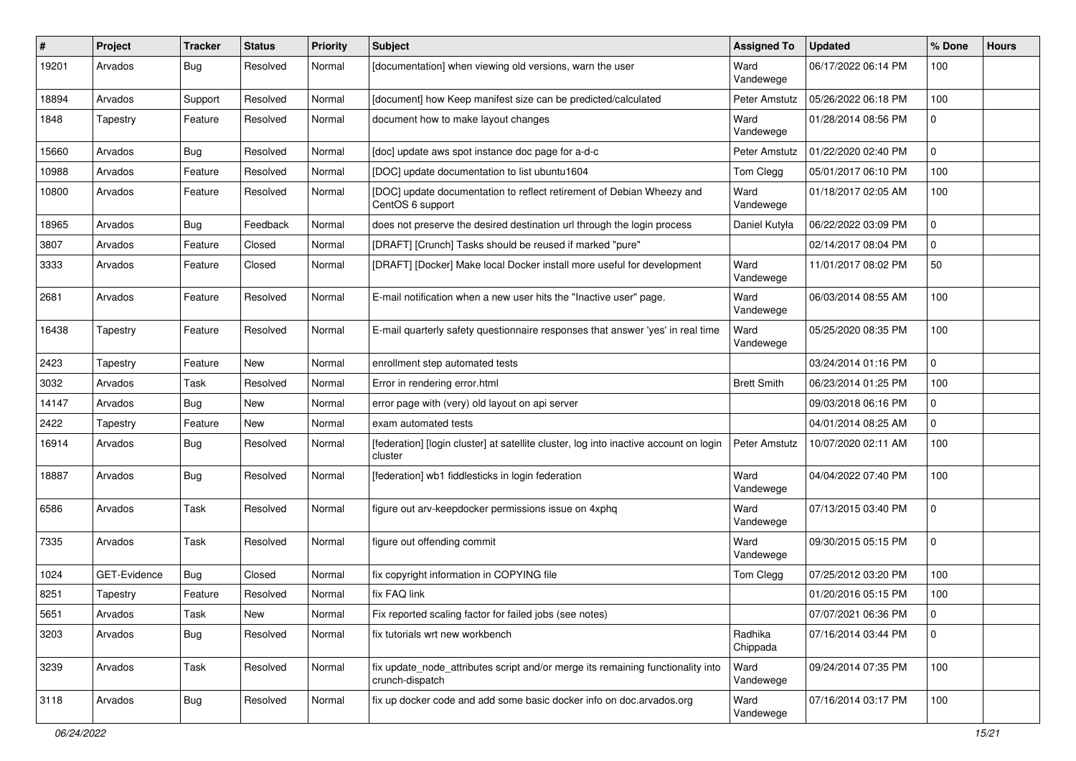| #     | Project      | <b>Tracker</b> | <b>Status</b> | <b>Priority</b> | Subject                                                                                            | <b>Assigned To</b>  | <b>Updated</b>      | % Done       | <b>Hours</b> |
|-------|--------------|----------------|---------------|-----------------|----------------------------------------------------------------------------------------------------|---------------------|---------------------|--------------|--------------|
| 19201 | Arvados      | Bug            | Resolved      | Normal          | [documentation] when viewing old versions, warn the user                                           | Ward<br>Vandewege   | 06/17/2022 06:14 PM | 100          |              |
| 18894 | Arvados      | Support        | Resolved      | Normal          | [document] how Keep manifest size can be predicted/calculated                                      | Peter Amstutz       | 05/26/2022 06:18 PM | 100          |              |
| 1848  | Tapestry     | Feature        | Resolved      | Normal          | document how to make layout changes                                                                | Ward<br>Vandewege   | 01/28/2014 08:56 PM | <sup>0</sup> |              |
| 15660 | Arvados      | Bug            | Resolved      | Normal          | [doc] update aws spot instance doc page for a-d-c                                                  | Peter Amstutz       | 01/22/2020 02:40 PM | 0            |              |
| 10988 | Arvados      | Feature        | Resolved      | Normal          | [DOC] update documentation to list ubuntu1604                                                      | Tom Clegg           | 05/01/2017 06:10 PM | 100          |              |
| 10800 | Arvados      | Feature        | Resolved      | Normal          | [DOC] update documentation to reflect retirement of Debian Wheezy and<br>CentOS 6 support          | Ward<br>Vandewege   | 01/18/2017 02:05 AM | 100          |              |
| 18965 | Arvados      | Bug            | Feedback      | Normal          | does not preserve the desired destination url through the login process                            | Daniel Kutyła       | 06/22/2022 03:09 PM | 0            |              |
| 3807  | Arvados      | Feature        | Closed        | Normal          | [DRAFT] [Crunch] Tasks should be reused if marked "pure"                                           |                     | 02/14/2017 08:04 PM | 0            |              |
| 3333  | Arvados      | Feature        | Closed        | Normal          | [DRAFT] [Docker] Make local Docker install more useful for development                             | Ward<br>Vandewege   | 11/01/2017 08:02 PM | 50           |              |
| 2681  | Arvados      | Feature        | Resolved      | Normal          | E-mail notification when a new user hits the "Inactive user" page.                                 | Ward<br>Vandewege   | 06/03/2014 08:55 AM | 100          |              |
| 16438 | Tapestry     | Feature        | Resolved      | Normal          | E-mail quarterly safety questionnaire responses that answer 'yes' in real time                     | Ward<br>Vandewege   | 05/25/2020 08:35 PM | 100          |              |
| 2423  | Tapestry     | Feature        | <b>New</b>    | Normal          | enrollment step automated tests                                                                    |                     | 03/24/2014 01:16 PM | 0            |              |
| 3032  | Arvados      | Task           | Resolved      | Normal          | Error in rendering error.html                                                                      | <b>Brett Smith</b>  | 06/23/2014 01:25 PM | 100          |              |
| 14147 | Arvados      | Bug            | New           | Normal          | error page with (very) old layout on api server                                                    |                     | 09/03/2018 06:16 PM | 0            |              |
| 2422  | Tapestry     | Feature        | <b>New</b>    | Normal          | exam automated tests                                                                               |                     | 04/01/2014 08:25 AM | 0            |              |
| 16914 | Arvados      | Bug            | Resolved      | Normal          | [federation] [login cluster] at satellite cluster, log into inactive account on login<br>cluster   | Peter Amstutz       | 10/07/2020 02:11 AM | 100          |              |
| 18887 | Arvados      | <b>Bug</b>     | Resolved      | Normal          | [federation] wb1 fiddlesticks in login federation                                                  | Ward<br>Vandewege   | 04/04/2022 07:40 PM | 100          |              |
| 6586  | Arvados      | Task           | Resolved      | Normal          | figure out arv-keepdocker permissions issue on 4xphq                                               | Ward<br>Vandewege   | 07/13/2015 03:40 PM | 0            |              |
| 7335  | Arvados      | Task           | Resolved      | Normal          | figure out offending commit                                                                        | Ward<br>Vandewege   | 09/30/2015 05:15 PM | 0            |              |
| 1024  | GET-Evidence | Bug            | Closed        | Normal          | fix copyright information in COPYING file                                                          | Tom Clegg           | 07/25/2012 03:20 PM | 100          |              |
| 8251  | Tapestry     | Feature        | Resolved      | Normal          | fix FAQ link                                                                                       |                     | 01/20/2016 05:15 PM | 100          |              |
| 5651  | Arvados      | Task           | New           | Normal          | Fix reported scaling factor for failed jobs (see notes)                                            |                     | 07/07/2021 06:36 PM | 0            |              |
| 3203  | Arvados      | Bug            | Resolved      | Normal          | fix tutorials wrt new workbench                                                                    | Radhika<br>Chippada | 07/16/2014 03:44 PM | 0            |              |
| 3239  | Arvados      | Task           | Resolved      | Normal          | fix update_node_attributes script and/or merge its remaining functionality into<br>crunch-dispatch | Ward<br>Vandewege   | 09/24/2014 07:35 PM | 100          |              |
| 3118  | Arvados      | <b>Bug</b>     | Resolved      | Normal          | fix up docker code and add some basic docker info on doc.arvados.org                               | Ward<br>Vandewege   | 07/16/2014 03:17 PM | 100          |              |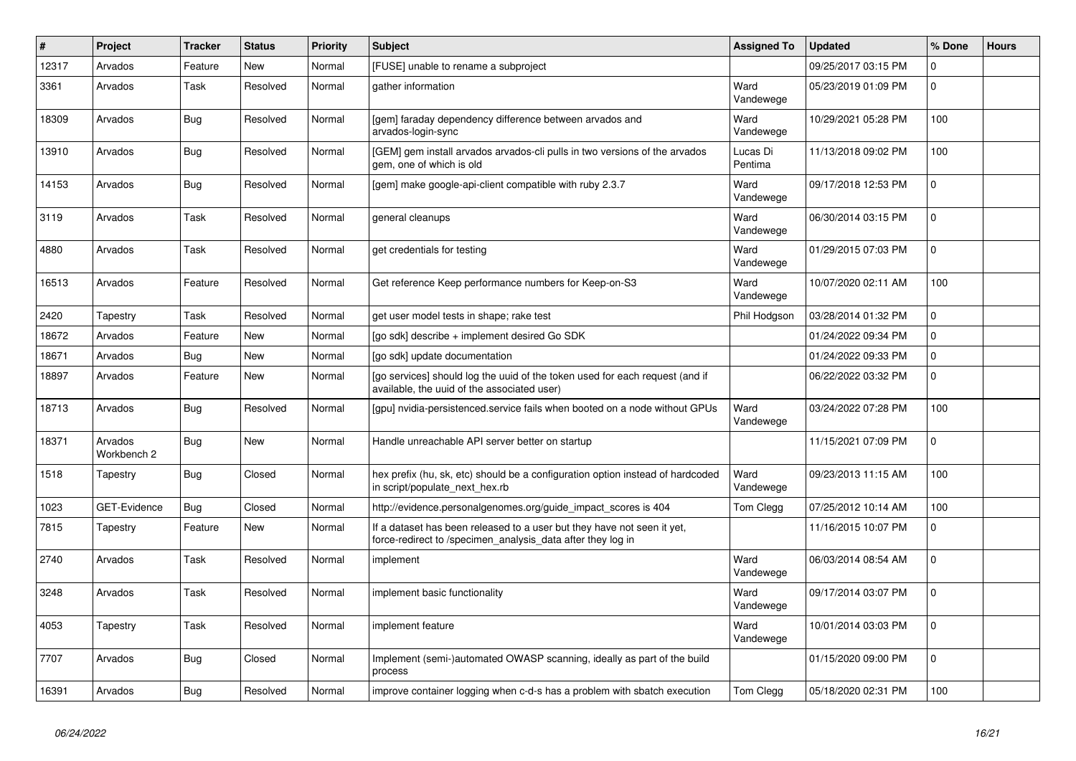| #     | Project                | <b>Tracker</b> | <b>Status</b> | <b>Priority</b> | <b>Subject</b>                                                                                                                         | <b>Assigned To</b>  | <b>Updated</b>      | % Done      | <b>Hours</b> |
|-------|------------------------|----------------|---------------|-----------------|----------------------------------------------------------------------------------------------------------------------------------------|---------------------|---------------------|-------------|--------------|
| 12317 | Arvados                | Feature        | New           | Normal          | [FUSE] unable to rename a subproject                                                                                                   |                     | 09/25/2017 03:15 PM | $\Omega$    |              |
| 3361  | Arvados                | Task           | Resolved      | Normal          | gather information                                                                                                                     | Ward<br>Vandewege   | 05/23/2019 01:09 PM | $\mathbf 0$ |              |
| 18309 | Arvados                | <b>Bug</b>     | Resolved      | Normal          | [gem] faraday dependency difference between arvados and<br>arvados-login-sync                                                          | Ward<br>Vandewege   | 10/29/2021 05:28 PM | 100         |              |
| 13910 | Arvados                | <b>Bug</b>     | Resolved      | Normal          | [GEM] gem install arvados arvados-cli pulls in two versions of the arvados<br>gem, one of which is old                                 | Lucas Di<br>Pentima | 11/13/2018 09:02 PM | 100         |              |
| 14153 | Arvados                | <b>Bug</b>     | Resolved      | Normal          | [gem] make google-api-client compatible with ruby 2.3.7                                                                                | Ward<br>Vandewege   | 09/17/2018 12:53 PM | $\Omega$    |              |
| 3119  | Arvados                | Task           | Resolved      | Normal          | general cleanups                                                                                                                       | Ward<br>Vandewege   | 06/30/2014 03:15 PM | $\Omega$    |              |
| 4880  | Arvados                | Task           | Resolved      | Normal          | get credentials for testing                                                                                                            | Ward<br>Vandewege   | 01/29/2015 07:03 PM | $\Omega$    |              |
| 16513 | Arvados                | Feature        | Resolved      | Normal          | Get reference Keep performance numbers for Keep-on-S3                                                                                  | Ward<br>Vandewege   | 10/07/2020 02:11 AM | 100         |              |
| 2420  | Tapestry               | Task           | Resolved      | Normal          | get user model tests in shape; rake test                                                                                               | Phil Hodgson        | 03/28/2014 01:32 PM | $\mathbf 0$ |              |
| 18672 | Arvados                | Feature        | <b>New</b>    | Normal          | [go sdk] describe + implement desired Go SDK                                                                                           |                     | 01/24/2022 09:34 PM | $\mathbf 0$ |              |
| 18671 | Arvados                | <b>Bug</b>     | New           | Normal          | [go sdk] update documentation                                                                                                          |                     | 01/24/2022 09:33 PM | $\mathbf 0$ |              |
| 18897 | Arvados                | Feature        | New           | Normal          | [go services] should log the uuid of the token used for each request (and if<br>available, the uuid of the associated user)            |                     | 06/22/2022 03:32 PM | $\Omega$    |              |
| 18713 | Arvados                | Bug            | Resolved      | Normal          | [gpu] nvidia-persistenced.service fails when booted on a node without GPUs                                                             | Ward<br>Vandewege   | 03/24/2022 07:28 PM | 100         |              |
| 18371 | Arvados<br>Workbench 2 | Bug            | New           | Normal          | Handle unreachable API server better on startup                                                                                        |                     | 11/15/2021 07:09 PM | $\Omega$    |              |
| 1518  | Tapestry               | <b>Bug</b>     | Closed        | Normal          | hex prefix (hu, sk, etc) should be a configuration option instead of hardcoded<br>in script/populate next hex.rb                       | Ward<br>Vandewege   | 09/23/2013 11:15 AM | 100         |              |
| 1023  | <b>GET-Evidence</b>    | <b>Bug</b>     | Closed        | Normal          | http://evidence.personalgenomes.org/guide_impact_scores is 404                                                                         | Tom Clegg           | 07/25/2012 10:14 AM | 100         |              |
| 7815  | Tapestry               | Feature        | New           | Normal          | If a dataset has been released to a user but they have not seen it yet,<br>force-redirect to /specimen_analysis_data after they log in |                     | 11/16/2015 10:07 PM | $\Omega$    |              |
| 2740  | Arvados                | Task           | Resolved      | Normal          | implement                                                                                                                              | Ward<br>Vandewege   | 06/03/2014 08:54 AM | $\Omega$    |              |
| 3248  | Arvados                | Task           | Resolved      | Normal          | implement basic functionality                                                                                                          | Ward<br>Vandewege   | 09/17/2014 03:07 PM | $\mathbf 0$ |              |
| 4053  | Tapestry               | Task           | Resolved      | Normal          | implement feature                                                                                                                      | Ward<br>Vandewege   | 10/01/2014 03:03 PM | $\Omega$    |              |
| 7707  | Arvados                | Bug            | Closed        | Normal          | Implement (semi-)automated OWASP scanning, ideally as part of the build<br>process                                                     |                     | 01/15/2020 09:00 PM | $\Omega$    |              |
| 16391 | Arvados                | <b>Bug</b>     | Resolved      | Normal          | improve container logging when c-d-s has a problem with sbatch execution                                                               | Tom Clegg           | 05/18/2020 02:31 PM | 100         |              |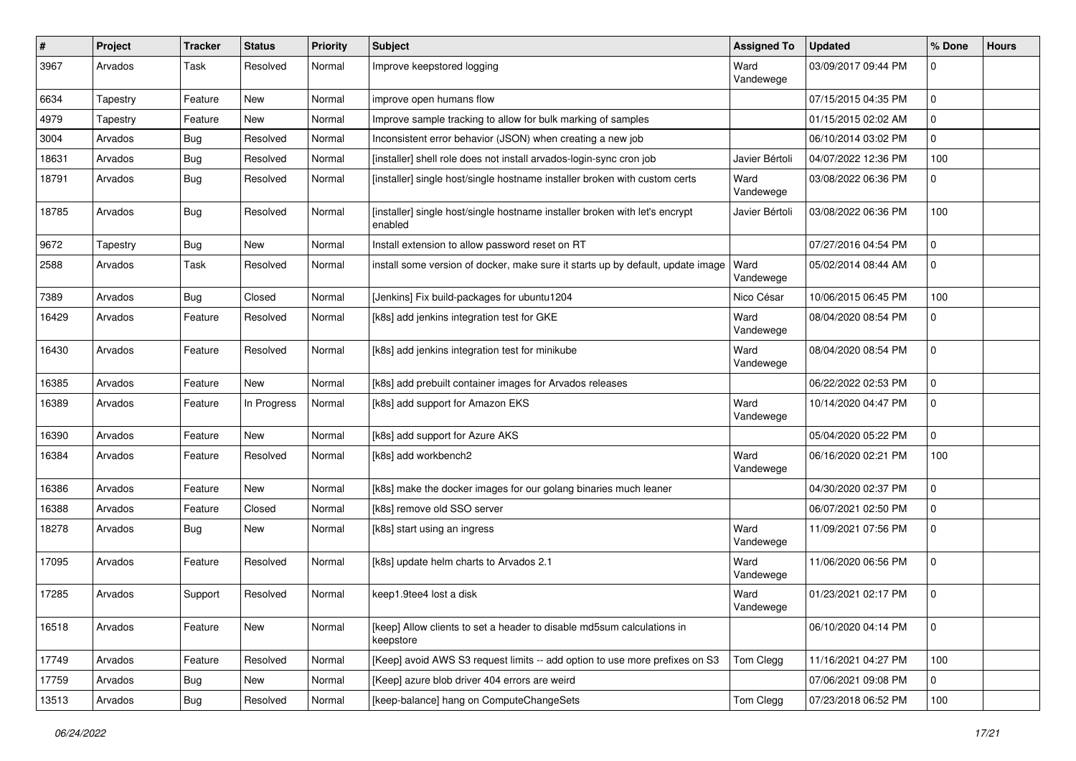| $\pmb{\#}$ | Project  | <b>Tracker</b> | <b>Status</b> | <b>Priority</b> | <b>Subject</b>                                                                         | <b>Assigned To</b> | <b>Updated</b>      | % Done       | <b>Hours</b> |
|------------|----------|----------------|---------------|-----------------|----------------------------------------------------------------------------------------|--------------------|---------------------|--------------|--------------|
| 3967       | Arvados  | Task           | Resolved      | Normal          | Improve keepstored logging                                                             | Ward<br>Vandewege  | 03/09/2017 09:44 PM |              |              |
| 6634       | Tapestry | Feature        | New           | Normal          | improve open humans flow                                                               |                    | 07/15/2015 04:35 PM | 0            |              |
| 4979       | Tapestry | Feature        | New           | Normal          | Improve sample tracking to allow for bulk marking of samples                           |                    | 01/15/2015 02:02 AM | $\Omega$     |              |
| 3004       | Arvados  | <b>Bug</b>     | Resolved      | Normal          | Inconsistent error behavior (JSON) when creating a new job                             |                    | 06/10/2014 03:02 PM | $\Omega$     |              |
| 18631      | Arvados  | <b>Bug</b>     | Resolved      | Normal          | [installer] shell role does not install arvados-login-sync cron job                    | Javier Bértoli     | 04/07/2022 12:36 PM | 100          |              |
| 18791      | Arvados  | <b>Bug</b>     | Resolved      | Normal          | [installer] single host/single hostname installer broken with custom certs             | Ward<br>Vandewege  | 03/08/2022 06:36 PM | <sup>0</sup> |              |
| 18785      | Arvados  | <b>Bug</b>     | Resolved      | Normal          | [installer] single host/single hostname installer broken with let's encrypt<br>enabled | Javier Bértoli     | 03/08/2022 06:36 PM | 100          |              |
| 9672       | Tapestry | Bug            | New           | Normal          | Install extension to allow password reset on RT                                        |                    | 07/27/2016 04:54 PM | 0            |              |
| 2588       | Arvados  | Task           | Resolved      | Normal          | install some version of docker, make sure it starts up by default, update image        | Ward<br>Vandewege  | 05/02/2014 08:44 AM | $\Omega$     |              |
| 7389       | Arvados  | Bug            | Closed        | Normal          | [Jenkins] Fix build-packages for ubuntu1204                                            | Nico César         | 10/06/2015 06:45 PM | 100          |              |
| 16429      | Arvados  | Feature        | Resolved      | Normal          | [k8s] add jenkins integration test for GKE                                             | Ward<br>Vandewege  | 08/04/2020 08:54 PM | O            |              |
| 16430      | Arvados  | Feature        | Resolved      | Normal          | [k8s] add jenkins integration test for minikube                                        | Ward<br>Vandewege  | 08/04/2020 08:54 PM | O            |              |
| 16385      | Arvados  | Feature        | <b>New</b>    | Normal          | [k8s] add prebuilt container images for Arvados releases                               |                    | 06/22/2022 02:53 PM | $\Omega$     |              |
| 16389      | Arvados  | Feature        | In Progress   | Normal          | [k8s] add support for Amazon EKS                                                       | Ward<br>Vandewege  | 10/14/2020 04:47 PM | $\Omega$     |              |
| 16390      | Arvados  | Feature        | New           | Normal          | [k8s] add support for Azure AKS                                                        |                    | 05/04/2020 05:22 PM | 0            |              |
| 16384      | Arvados  | Feature        | Resolved      | Normal          | [k8s] add workbench2                                                                   | Ward<br>Vandewege  | 06/16/2020 02:21 PM | 100          |              |
| 16386      | Arvados  | Feature        | <b>New</b>    | Normal          | [k8s] make the docker images for our golang binaries much leaner                       |                    | 04/30/2020 02:37 PM |              |              |
| 16388      | Arvados  | Feature        | Closed        | Normal          | [k8s] remove old SSO server                                                            |                    | 06/07/2021 02:50 PM | $\Omega$     |              |
| 18278      | Arvados  | Bug            | New           | Normal          | [k8s] start using an ingress                                                           | Ward<br>Vandewege  | 11/09/2021 07:56 PM | $\Omega$     |              |
| 17095      | Arvados  | Feature        | Resolved      | Normal          | [k8s] update helm charts to Arvados 2.1                                                | Ward<br>Vandewege  | 11/06/2020 06:56 PM | $\Omega$     |              |
| 17285      | Arvados  | Support        | Resolved      | Normal          | keep1.9tee4 lost a disk                                                                | Ward<br>Vandewege  | 01/23/2021 02:17 PM | $\Omega$     |              |
| 16518      | Arvados  | Feature        | New           | Normal          | [keep] Allow clients to set a header to disable md5sum calculations in<br>keepstore    |                    | 06/10/2020 04:14 PM | $\mathbf 0$  |              |
| 17749      | Arvados  | Feature        | Resolved      | Normal          | [Keep] avoid AWS S3 request limits -- add option to use more prefixes on S3            | Tom Clegg          | 11/16/2021 04:27 PM | 100          |              |
| 17759      | Arvados  | Bug            | New           | Normal          | [Keep] azure blob driver 404 errors are weird                                          |                    | 07/06/2021 09:08 PM |              |              |
| 13513      | Arvados  | <b>Bug</b>     | Resolved      | Normal          | [keep-balance] hang on ComputeChangeSets                                               | Tom Clegg          | 07/23/2018 06:52 PM | 100          |              |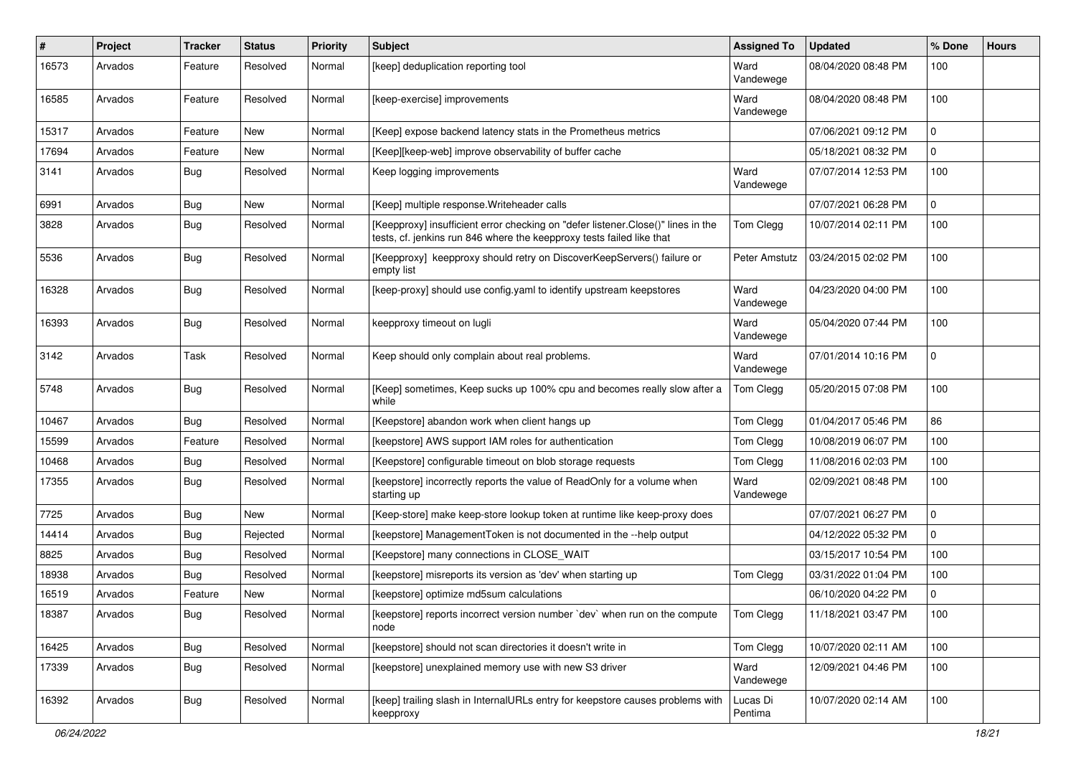| $\sharp$ | Project | Tracker    | <b>Status</b> | <b>Priority</b> | Subject                                                                                                                                                   | <b>Assigned To</b>  | <b>Updated</b>      | % Done       | <b>Hours</b> |
|----------|---------|------------|---------------|-----------------|-----------------------------------------------------------------------------------------------------------------------------------------------------------|---------------------|---------------------|--------------|--------------|
| 16573    | Arvados | Feature    | Resolved      | Normal          | [keep] deduplication reporting tool                                                                                                                       | Ward<br>Vandewege   | 08/04/2020 08:48 PM | 100          |              |
| 16585    | Arvados | Feature    | Resolved      | Normal          | [keep-exercise] improvements                                                                                                                              | Ward<br>Vandewege   | 08/04/2020 08:48 PM | 100          |              |
| 15317    | Arvados | Feature    | New           | Normal          | [Keep] expose backend latency stats in the Prometheus metrics                                                                                             |                     | 07/06/2021 09:12 PM | 0            |              |
| 17694    | Arvados | Feature    | New           | Normal          | [Keep][keep-web] improve observability of buffer cache                                                                                                    |                     | 05/18/2021 08:32 PM | <sup>0</sup> |              |
| 3141     | Arvados | <b>Bug</b> | Resolved      | Normal          | Keep logging improvements                                                                                                                                 | Ward<br>Vandewege   | 07/07/2014 12:53 PM | 100          |              |
| 6991     | Arvados | <b>Bug</b> | New           | Normal          | [Keep] multiple response. Writeheader calls                                                                                                               |                     | 07/07/2021 06:28 PM | $\Omega$     |              |
| 3828     | Arvados | <b>Bug</b> | Resolved      | Normal          | [Keepproxy] insufficient error checking on "defer listener.Close()" lines in the<br>tests, cf. jenkins run 846 where the keepproxy tests failed like that | Tom Clegg           | 10/07/2014 02:11 PM | 100          |              |
| 5536     | Arvados | <b>Bug</b> | Resolved      | Normal          | [Keepproxy] keepproxy should retry on DiscoverKeepServers() failure or<br>empty list                                                                      | Peter Amstutz       | 03/24/2015 02:02 PM | 100          |              |
| 16328    | Arvados | <b>Bug</b> | Resolved      | Normal          | [keep-proxy] should use config.yaml to identify upstream keepstores                                                                                       | Ward<br>Vandewege   | 04/23/2020 04:00 PM | 100          |              |
| 16393    | Arvados | <b>Bug</b> | Resolved      | Normal          | keepproxy timeout on lugli                                                                                                                                | Ward<br>Vandewege   | 05/04/2020 07:44 PM | 100          |              |
| 3142     | Arvados | Task       | Resolved      | Normal          | Keep should only complain about real problems.                                                                                                            | Ward<br>Vandewege   | 07/01/2014 10:16 PM | 0            |              |
| 5748     | Arvados | <b>Bug</b> | Resolved      | Normal          | [Keep] sometimes, Keep sucks up 100% cpu and becomes really slow after a<br>while                                                                         | Tom Clegg           | 05/20/2015 07:08 PM | 100          |              |
| 10467    | Arvados | <b>Bug</b> | Resolved      | Normal          | [Keepstore] abandon work when client hangs up                                                                                                             | Tom Clegg           | 01/04/2017 05:46 PM | 86           |              |
| 15599    | Arvados | Feature    | Resolved      | Normal          | [keepstore] AWS support IAM roles for authentication                                                                                                      | Tom Clegg           | 10/08/2019 06:07 PM | 100          |              |
| 10468    | Arvados | <b>Bug</b> | Resolved      | Normal          | [Keepstore] configurable timeout on blob storage requests                                                                                                 | Tom Clegg           | 11/08/2016 02:03 PM | 100          |              |
| 17355    | Arvados | <b>Bug</b> | Resolved      | Normal          | [keepstore] incorrectly reports the value of ReadOnly for a volume when<br>starting up                                                                    | Ward<br>Vandewege   | 02/09/2021 08:48 PM | 100          |              |
| 7725     | Arvados | Bug        | New           | Normal          | [Keep-store] make keep-store lookup token at runtime like keep-proxy does                                                                                 |                     | 07/07/2021 06:27 PM | 0            |              |
| 14414    | Arvados | <b>Bug</b> | Rejected      | Normal          | [keepstore] ManagementToken is not documented in the --help output                                                                                        |                     | 04/12/2022 05:32 PM | 0            |              |
| 8825     | Arvados | <b>Bug</b> | Resolved      | Normal          | [Keepstore] many connections in CLOSE_WAIT                                                                                                                |                     | 03/15/2017 10:54 PM | 100          |              |
| 18938    | Arvados | <b>Bug</b> | Resolved      | Normal          | [keepstore] misreports its version as 'dev' when starting up                                                                                              | Tom Clegg           | 03/31/2022 01:04 PM | 100          |              |
| 16519    | Arvados | Feature    | New           | Normal          | [keepstore] optimize md5sum calculations                                                                                                                  |                     | 06/10/2020 04:22 PM | 0            |              |
| 18387    | Arvados | <b>Bug</b> | Resolved      | Normal          | [keepstore] reports incorrect version number 'dev' when run on the compute<br>node                                                                        | Tom Clegg           | 11/18/2021 03:47 PM | 100          |              |
| 16425    | Arvados | <b>Bug</b> | Resolved      | Normal          | [keepstore] should not scan directories it doesn't write in                                                                                               | Tom Clegg           | 10/07/2020 02:11 AM | 100          |              |
| 17339    | Arvados | Bug        | Resolved      | Normal          | [keepstore] unexplained memory use with new S3 driver                                                                                                     | Ward<br>Vandewege   | 12/09/2021 04:46 PM | 100          |              |
| 16392    | Arvados | <b>Bug</b> | Resolved      | Normal          | [keep] trailing slash in InternalURLs entry for keepstore causes problems with<br>keepproxy                                                               | Lucas Di<br>Pentima | 10/07/2020 02:14 AM | 100          |              |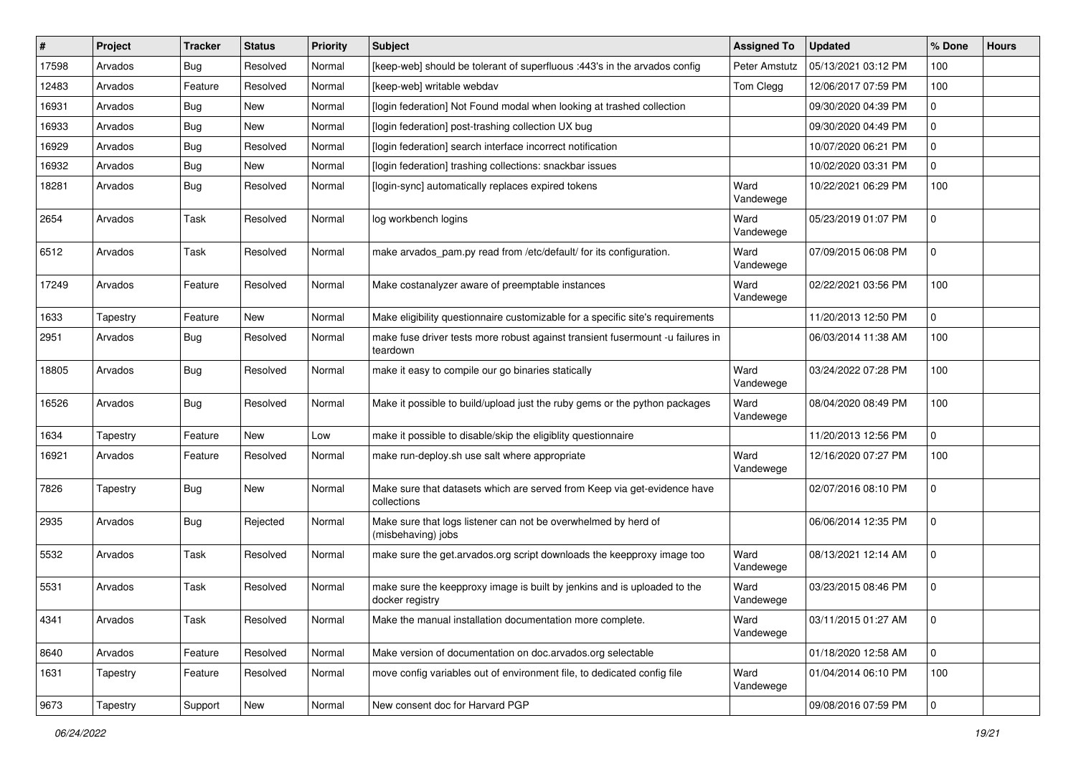| #     | Project  | <b>Tracker</b> | <b>Status</b> | <b>Priority</b> | <b>Subject</b>                                                                              | <b>Assigned To</b> | <b>Updated</b>      | % Done       | <b>Hours</b> |
|-------|----------|----------------|---------------|-----------------|---------------------------------------------------------------------------------------------|--------------------|---------------------|--------------|--------------|
| 17598 | Arvados  | Bug            | Resolved      | Normal          | [keep-web] should be tolerant of superfluous :443's in the arvados config                   | Peter Amstutz      | 05/13/2021 03:12 PM | 100          |              |
| 12483 | Arvados  | Feature        | Resolved      | Normal          | [keep-web] writable webdav                                                                  | Tom Clegg          | 12/06/2017 07:59 PM | 100          |              |
| 16931 | Arvados  | Bug            | New           | Normal          | [login federation] Not Found modal when looking at trashed collection                       |                    | 09/30/2020 04:39 PM | 0            |              |
| 16933 | Arvados  | Bug            | New           | Normal          | [login federation] post-trashing collection UX bug                                          |                    | 09/30/2020 04:49 PM | 0            |              |
| 16929 | Arvados  | <b>Bug</b>     | Resolved      | Normal          | [login federation] search interface incorrect notification                                  |                    | 10/07/2020 06:21 PM | 0            |              |
| 16932 | Arvados  | Bug            | New           | Normal          | [login federation] trashing collections: snackbar issues                                    |                    | 10/02/2020 03:31 PM | 0            |              |
| 18281 | Arvados  | Bug            | Resolved      | Normal          | [login-sync] automatically replaces expired tokens                                          | Ward<br>Vandewege  | 10/22/2021 06:29 PM | 100          |              |
| 2654  | Arvados  | Task           | Resolved      | Normal          | log workbench logins                                                                        | Ward<br>Vandewege  | 05/23/2019 01:07 PM | <sup>0</sup> |              |
| 6512  | Arvados  | Task           | Resolved      | Normal          | make arvados_pam.py read from /etc/default/ for its configuration.                          | Ward<br>Vandewege  | 07/09/2015 06:08 PM | 0            |              |
| 17249 | Arvados  | Feature        | Resolved      | Normal          | Make costanalyzer aware of preemptable instances                                            | Ward<br>Vandewege  | 02/22/2021 03:56 PM | 100          |              |
| 1633  | Tapestry | Feature        | New           | Normal          | Make eligibility questionnaire customizable for a specific site's requirements              |                    | 11/20/2013 12:50 PM | 0            |              |
| 2951  | Arvados  | <b>Bug</b>     | Resolved      | Normal          | make fuse driver tests more robust against transient fusermount -u failures in<br>teardown  |                    | 06/03/2014 11:38 AM | 100          |              |
| 18805 | Arvados  | Bug            | Resolved      | Normal          | make it easy to compile our go binaries statically                                          | Ward<br>Vandewege  | 03/24/2022 07:28 PM | 100          |              |
| 16526 | Arvados  | Bug            | Resolved      | Normal          | Make it possible to build/upload just the ruby gems or the python packages                  | Ward<br>Vandewege  | 08/04/2020 08:49 PM | 100          |              |
| 1634  | Tapestry | Feature        | New           | Low             | make it possible to disable/skip the eligiblity questionnaire                               |                    | 11/20/2013 12:56 PM | 0            |              |
| 16921 | Arvados  | Feature        | Resolved      | Normal          | make run-deploy.sh use salt where appropriate                                               | Ward<br>Vandewege  | 12/16/2020 07:27 PM | 100          |              |
| 7826  | Tapestry | Bug            | New           | Normal          | Make sure that datasets which are served from Keep via get-evidence have<br>collections     |                    | 02/07/2016 08:10 PM | 0            |              |
| 2935  | Arvados  | Bug            | Rejected      | Normal          | Make sure that logs listener can not be overwhelmed by herd of<br>(misbehaving) jobs        |                    | 06/06/2014 12:35 PM | 0            |              |
| 5532  | Arvados  | Task           | Resolved      | Normal          | make sure the get.arvados.org script downloads the keepproxy image too                      | Ward<br>Vandewege  | 08/13/2021 12:14 AM | 0            |              |
| 5531  | Arvados  | Task           | Resolved      | Normal          | make sure the keepproxy image is built by jenkins and is uploaded to the<br>docker registry | Ward<br>Vandewege  | 03/23/2015 08:46 PM | <sup>0</sup> |              |
| 4341  | Arvados  | Task           | Resolved      | Normal          | Make the manual installation documentation more complete.                                   | Ward<br>Vandewege  | 03/11/2015 01:27 AM | 0            |              |
| 8640  | Arvados  | Feature        | Resolved      | Normal          | Make version of documentation on doc.arvados.org selectable                                 |                    | 01/18/2020 12:58 AM | 0            |              |
| 1631  | Tapestry | Feature        | Resolved      | Normal          | move config variables out of environment file, to dedicated config file                     | Ward<br>Vandewege  | 01/04/2014 06:10 PM | 100          |              |
| 9673  | Tapestry | Support        | New           | Normal          | New consent doc for Harvard PGP                                                             |                    | 09/08/2016 07:59 PM | $\mathbf 0$  |              |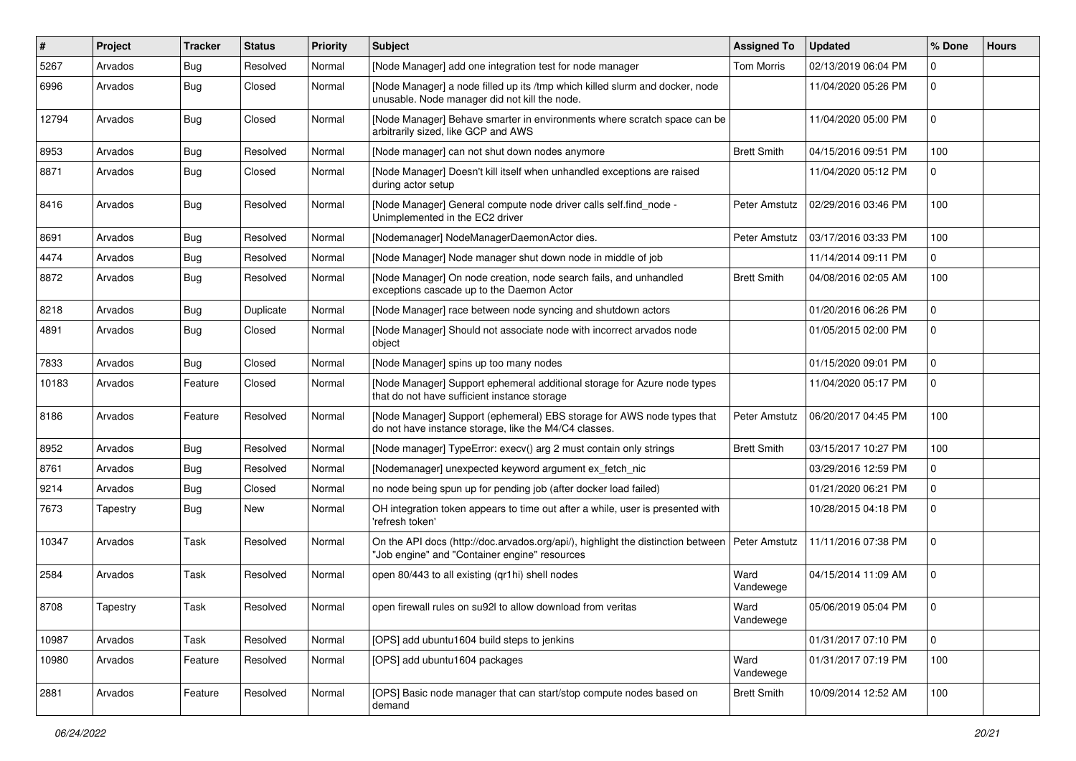| #     | Project  | Tracker    | <b>Status</b> | <b>Priority</b> | <b>Subject</b>                                                                                                                    | <b>Assigned To</b> | <b>Updated</b>      | % Done       | <b>Hours</b> |
|-------|----------|------------|---------------|-----------------|-----------------------------------------------------------------------------------------------------------------------------------|--------------------|---------------------|--------------|--------------|
| 5267  | Arvados  | <b>Bug</b> | Resolved      | Normal          | [Node Manager] add one integration test for node manager                                                                          | <b>Tom Morris</b>  | 02/13/2019 06:04 PM | 0            |              |
| 6996  | Arvados  | <b>Bug</b> | Closed        | Normal          | [Node Manager] a node filled up its /tmp which killed slurm and docker, node<br>unusable. Node manager did not kill the node.     |                    | 11/04/2020 05:26 PM | 0            |              |
| 12794 | Arvados  | Bug        | Closed        | Normal          | [Node Manager] Behave smarter in environments where scratch space can be<br>arbitrarily sized, like GCP and AWS                   |                    | 11/04/2020 05:00 PM | 0            |              |
| 8953  | Arvados  | <b>Bug</b> | Resolved      | Normal          | [Node manager] can not shut down nodes anymore                                                                                    | <b>Brett Smith</b> | 04/15/2016 09:51 PM | 100          |              |
| 8871  | Arvados  | <b>Bug</b> | Closed        | Normal          | [Node Manager] Doesn't kill itself when unhandled exceptions are raised<br>during actor setup                                     |                    | 11/04/2020 05:12 PM | 0            |              |
| 8416  | Arvados  | <b>Bug</b> | Resolved      | Normal          | [Node Manager] General compute node driver calls self.find node -<br>Unimplemented in the EC2 driver                              | Peter Amstutz      | 02/29/2016 03:46 PM | 100          |              |
| 8691  | Arvados  | <b>Bug</b> | Resolved      | Normal          | [Nodemanager] NodeManagerDaemonActor dies.                                                                                        | Peter Amstutz      | 03/17/2016 03:33 PM | 100          |              |
| 4474  | Arvados  | <b>Bug</b> | Resolved      | Normal          | [Node Manager] Node manager shut down node in middle of job                                                                       |                    | 11/14/2014 09:11 PM | 0            |              |
| 8872  | Arvados  | <b>Bug</b> | Resolved      | Normal          | [Node Manager] On node creation, node search fails, and unhandled<br>exceptions cascade up to the Daemon Actor                    | <b>Brett Smith</b> | 04/08/2016 02:05 AM | 100          |              |
| 8218  | Arvados  | <b>Bug</b> | Duplicate     | Normal          | [Node Manager] race between node syncing and shutdown actors                                                                      |                    | 01/20/2016 06:26 PM | $\mathbf{0}$ |              |
| 4891  | Arvados  | <b>Bug</b> | Closed        | Normal          | [Node Manager] Should not associate node with incorrect arvados node<br>object                                                    |                    | 01/05/2015 02:00 PM | 0            |              |
| 7833  | Arvados  | <b>Bug</b> | Closed        | Normal          | [Node Manager] spins up too many nodes                                                                                            |                    | 01/15/2020 09:01 PM | $\mathbf 0$  |              |
| 10183 | Arvados  | Feature    | Closed        | Normal          | [Node Manager] Support ephemeral additional storage for Azure node types<br>that do not have sufficient instance storage          |                    | 11/04/2020 05:17 PM | 0            |              |
| 8186  | Arvados  | Feature    | Resolved      | Normal          | [Node Manager] Support (ephemeral) EBS storage for AWS node types that<br>do not have instance storage, like the M4/C4 classes.   | Peter Amstutz      | 06/20/2017 04:45 PM | 100          |              |
| 8952  | Arvados  | Bug        | Resolved      | Normal          | [Node manager] TypeError: execv() arg 2 must contain only strings                                                                 | <b>Brett Smith</b> | 03/15/2017 10:27 PM | 100          |              |
| 8761  | Arvados  | Bug        | Resolved      | Normal          | [Nodemanager] unexpected keyword argument ex_fetch_nic                                                                            |                    | 03/29/2016 12:59 PM | 0            |              |
| 9214  | Arvados  | Bug        | Closed        | Normal          | no node being spun up for pending job (after docker load failed)                                                                  |                    | 01/21/2020 06:21 PM | 0            |              |
| 7673  | Tapestry | <b>Bug</b> | New           | Normal          | OH integration token appears to time out after a while, user is presented with<br>'refresh token'                                 |                    | 10/28/2015 04:18 PM | 0            |              |
| 10347 | Arvados  | Task       | Resolved      | Normal          | On the API docs (http://doc.arvados.org/api/), highlight the distinction between<br>"Job engine" and "Container engine" resources | Peter Amstutz      | 11/11/2016 07:38 PM | 0            |              |
| 2584  | Arvados  | Task       | Resolved      | Normal          | open 80/443 to all existing (qr1hi) shell nodes                                                                                   | Ward<br>Vandewege  | 04/15/2014 11:09 AM | $\mathbf 0$  |              |
| 8708  | Tapestry | Task       | Resolved      | Normal          | open firewall rules on su92l to allow download from veritas                                                                       | Ward<br>Vandewege  | 05/06/2019 05:04 PM | $\mathbf 0$  |              |
| 10987 | Arvados  | Task       | Resolved      | Normal          | [OPS] add ubuntu1604 build steps to jenkins                                                                                       |                    | 01/31/2017 07:10 PM | $\mathbf 0$  |              |
| 10980 | Arvados  | Feature    | Resolved      | Normal          | [OPS] add ubuntu1604 packages                                                                                                     | Ward<br>Vandewege  | 01/31/2017 07:19 PM | 100          |              |
| 2881  | Arvados  | Feature    | Resolved      | Normal          | [OPS] Basic node manager that can start/stop compute nodes based on<br>demand                                                     | <b>Brett Smith</b> | 10/09/2014 12:52 AM | 100          |              |